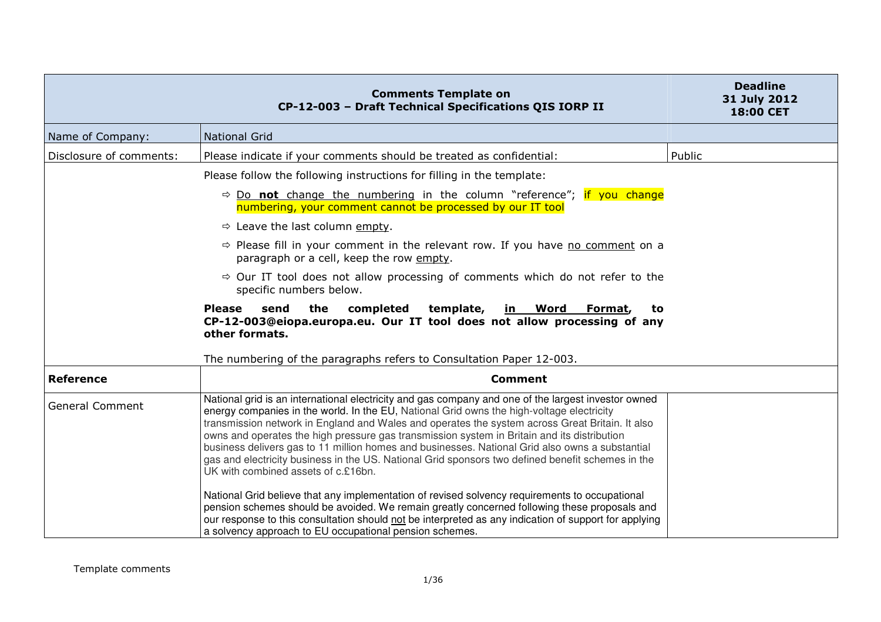|                         | <b>Comments Template on</b><br>CP-12-003 - Draft Technical Specifications QIS IORP II                                                                                                                                                                                                                                                                                                                                                                                                                                                                                                                                                             | <b>Deadline</b><br>31 July 2012<br>18:00 CET |
|-------------------------|---------------------------------------------------------------------------------------------------------------------------------------------------------------------------------------------------------------------------------------------------------------------------------------------------------------------------------------------------------------------------------------------------------------------------------------------------------------------------------------------------------------------------------------------------------------------------------------------------------------------------------------------------|----------------------------------------------|
| Name of Company:        | <b>National Grid</b>                                                                                                                                                                                                                                                                                                                                                                                                                                                                                                                                                                                                                              |                                              |
| Disclosure of comments: | Please indicate if your comments should be treated as confidential:                                                                                                                                                                                                                                                                                                                                                                                                                                                                                                                                                                               | Public                                       |
|                         | Please follow the following instructions for filling in the template:                                                                                                                                                                                                                                                                                                                                                                                                                                                                                                                                                                             |                                              |
|                         | $\Rightarrow$ Do not change the numbering in the column "reference"; if you change<br>numbering, your comment cannot be processed by our IT tool                                                                                                                                                                                                                                                                                                                                                                                                                                                                                                  |                                              |
|                         | $\Rightarrow$ Leave the last column empty.                                                                                                                                                                                                                                                                                                                                                                                                                                                                                                                                                                                                        |                                              |
|                         | $\Rightarrow$ Please fill in your comment in the relevant row. If you have no comment on a<br>paragraph or a cell, keep the row empty.                                                                                                                                                                                                                                                                                                                                                                                                                                                                                                            |                                              |
|                         | $\Rightarrow$ Our IT tool does not allow processing of comments which do not refer to the<br>specific numbers below.                                                                                                                                                                                                                                                                                                                                                                                                                                                                                                                              |                                              |
|                         | the<br>completed<br><b>Please</b><br>send<br>template,<br><u>in Word</u><br>Format,<br>to<br>CP-12-003@eiopa.europa.eu. Our IT tool does not allow processing of any<br>other formats.                                                                                                                                                                                                                                                                                                                                                                                                                                                            |                                              |
|                         | The numbering of the paragraphs refers to Consultation Paper 12-003.                                                                                                                                                                                                                                                                                                                                                                                                                                                                                                                                                                              |                                              |
| <b>Reference</b>        | <b>Comment</b>                                                                                                                                                                                                                                                                                                                                                                                                                                                                                                                                                                                                                                    |                                              |
| <b>General Comment</b>  | National grid is an international electricity and gas company and one of the largest investor owned<br>energy companies in the world. In the EU, National Grid owns the high-voltage electricity<br>transmission network in England and Wales and operates the system across Great Britain. It also<br>owns and operates the high pressure gas transmission system in Britain and its distribution<br>business delivers gas to 11 million homes and businesses. National Grid also owns a substantial<br>gas and electricity business in the US. National Grid sponsors two defined benefit schemes in the<br>UK with combined assets of c.£16bn. |                                              |
|                         | National Grid believe that any implementation of revised solvency requirements to occupational<br>pension schemes should be avoided. We remain greatly concerned following these proposals and<br>our response to this consultation should not be interpreted as any indication of support for applying<br>a solvency approach to EU occupational pension schemes.                                                                                                                                                                                                                                                                                |                                              |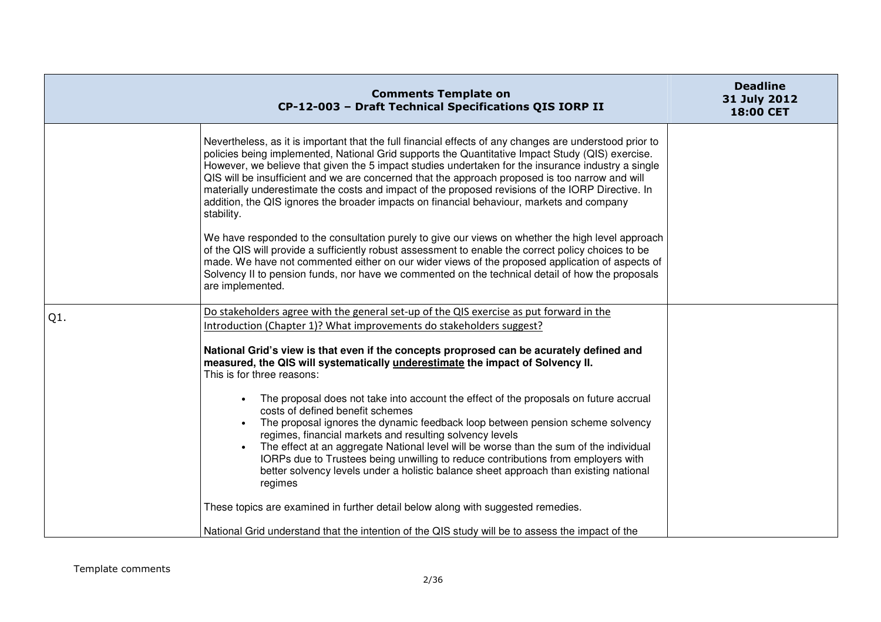|     | <b>Comments Template on</b><br>CP-12-003 - Draft Technical Specifications QIS IORP II                                                                                                                                                                                                                                                                                                                                                                                                                                                                                                                                                | <b>Deadline</b><br>31 July 2012<br>18:00 CET |
|-----|--------------------------------------------------------------------------------------------------------------------------------------------------------------------------------------------------------------------------------------------------------------------------------------------------------------------------------------------------------------------------------------------------------------------------------------------------------------------------------------------------------------------------------------------------------------------------------------------------------------------------------------|----------------------------------------------|
|     | Nevertheless, as it is important that the full financial effects of any changes are understood prior to<br>policies being implemented, National Grid supports the Quantitative Impact Study (QIS) exercise.<br>However, we believe that given the 5 impact studies undertaken for the insurance industry a single<br>QIS will be insufficient and we are concerned that the approach proposed is too narrow and will<br>materially underestimate the costs and impact of the proposed revisions of the IORP Directive. In<br>addition, the QIS ignores the broader impacts on financial behaviour, markets and company<br>stability. |                                              |
|     | We have responded to the consultation purely to give our views on whether the high level approach<br>of the QIS will provide a sufficiently robust assessment to enable the correct policy choices to be<br>made. We have not commented either on our wider views of the proposed application of aspects of<br>Solvency II to pension funds, nor have we commented on the technical detail of how the proposals<br>are implemented.                                                                                                                                                                                                  |                                              |
| Q1. | Do stakeholders agree with the general set-up of the QIS exercise as put forward in the                                                                                                                                                                                                                                                                                                                                                                                                                                                                                                                                              |                                              |
|     | Introduction (Chapter 1)? What improvements do stakeholders suggest?                                                                                                                                                                                                                                                                                                                                                                                                                                                                                                                                                                 |                                              |
|     | National Grid's view is that even if the concepts proprosed can be acurately defined and<br>measured, the QIS will systematically underestimate the impact of Solvency II.<br>This is for three reasons:                                                                                                                                                                                                                                                                                                                                                                                                                             |                                              |
|     | The proposal does not take into account the effect of the proposals on future accrual                                                                                                                                                                                                                                                                                                                                                                                                                                                                                                                                                |                                              |
|     | costs of defined benefit schemes<br>The proposal ignores the dynamic feedback loop between pension scheme solvency                                                                                                                                                                                                                                                                                                                                                                                                                                                                                                                   |                                              |
|     | regimes, financial markets and resulting solvency levels                                                                                                                                                                                                                                                                                                                                                                                                                                                                                                                                                                             |                                              |
|     | The effect at an aggregate National level will be worse than the sum of the individual<br>IORPs due to Trustees being unwilling to reduce contributions from employers with<br>better solvency levels under a holistic balance sheet approach than existing national<br>regimes                                                                                                                                                                                                                                                                                                                                                      |                                              |
|     | These topics are examined in further detail below along with suggested remedies.                                                                                                                                                                                                                                                                                                                                                                                                                                                                                                                                                     |                                              |
|     | National Grid understand that the intention of the QIS study will be to assess the impact of the                                                                                                                                                                                                                                                                                                                                                                                                                                                                                                                                     |                                              |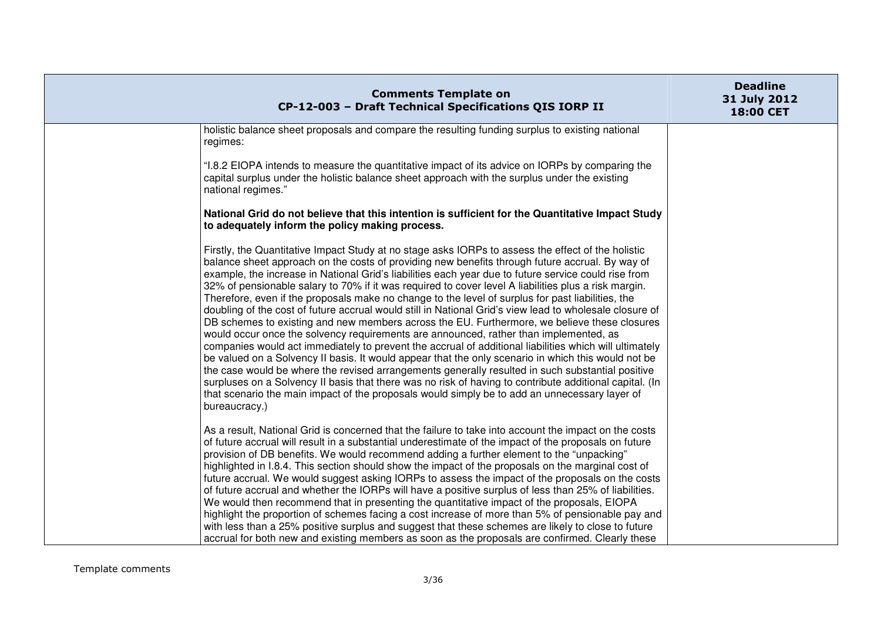| <b>Comments Template on</b><br>CP-12-003 - Draft Technical Specifications QIS IORP II                                                                                                                                                                                                                                                                                                                                                                                                                                                                                                                                                                                                                                                                                                                                                                                                                                                                                                                                                                                                                                                                                                                                                                                                                                                                                            | <b>Deadline</b><br>31 July 2012<br>18:00 CET |
|----------------------------------------------------------------------------------------------------------------------------------------------------------------------------------------------------------------------------------------------------------------------------------------------------------------------------------------------------------------------------------------------------------------------------------------------------------------------------------------------------------------------------------------------------------------------------------------------------------------------------------------------------------------------------------------------------------------------------------------------------------------------------------------------------------------------------------------------------------------------------------------------------------------------------------------------------------------------------------------------------------------------------------------------------------------------------------------------------------------------------------------------------------------------------------------------------------------------------------------------------------------------------------------------------------------------------------------------------------------------------------|----------------------------------------------|
| holistic balance sheet proposals and compare the resulting funding surplus to existing national<br>regimes:                                                                                                                                                                                                                                                                                                                                                                                                                                                                                                                                                                                                                                                                                                                                                                                                                                                                                                                                                                                                                                                                                                                                                                                                                                                                      |                                              |
| "I.8.2 EIOPA intends to measure the quantitative impact of its advice on IORPs by comparing the<br>capital surplus under the holistic balance sheet approach with the surplus under the existing<br>national regimes."                                                                                                                                                                                                                                                                                                                                                                                                                                                                                                                                                                                                                                                                                                                                                                                                                                                                                                                                                                                                                                                                                                                                                           |                                              |
| National Grid do not believe that this intention is sufficient for the Quantitative Impact Study<br>to adequately inform the policy making process.                                                                                                                                                                                                                                                                                                                                                                                                                                                                                                                                                                                                                                                                                                                                                                                                                                                                                                                                                                                                                                                                                                                                                                                                                              |                                              |
| Firstly, the Quantitative Impact Study at no stage asks IORPs to assess the effect of the holistic<br>balance sheet approach on the costs of providing new benefits through future accrual. By way of<br>example, the increase in National Grid's liabilities each year due to future service could rise from<br>32% of pensionable salary to 70% if it was required to cover level A liabilities plus a risk margin.<br>Therefore, even if the proposals make no change to the level of surplus for past liabilities, the<br>doubling of the cost of future accrual would still in National Grid's view lead to wholesale closure of<br>DB schemes to existing and new members across the EU. Furthermore, we believe these closures<br>would occur once the solvency requirements are announced, rather than implemented, as<br>companies would act immediately to prevent the accrual of additional liabilities which will ultimately<br>be valued on a Solvency II basis. It would appear that the only scenario in which this would not be<br>the case would be where the revised arrangements generally resulted in such substantial positive<br>surpluses on a Solvency II basis that there was no risk of having to contribute additional capital. (In<br>that scenario the main impact of the proposals would simply be to add an unnecessary layer of<br>bureaucracy.) |                                              |
| As a result, National Grid is concerned that the failure to take into account the impact on the costs<br>of future accrual will result in a substantial underestimate of the impact of the proposals on future<br>provision of DB benefits. We would recommend adding a further element to the "unpacking"<br>highlighted in I.8.4. This section should show the impact of the proposals on the marginal cost of<br>future accrual. We would suggest asking IORPs to assess the impact of the proposals on the costs<br>of future accrual and whether the IORPs will have a positive surplus of less than 25% of liabilities.<br>We would then recommend that in presenting the quantitative impact of the proposals, EIOPA                                                                                                                                                                                                                                                                                                                                                                                                                                                                                                                                                                                                                                                      |                                              |
| highlight the proportion of schemes facing a cost increase of more than 5% of pensionable pay and<br>with less than a 25% positive surplus and suggest that these schemes are likely to close to future<br>accrual for both new and existing members as soon as the proposals are confirmed. Clearly these                                                                                                                                                                                                                                                                                                                                                                                                                                                                                                                                                                                                                                                                                                                                                                                                                                                                                                                                                                                                                                                                       |                                              |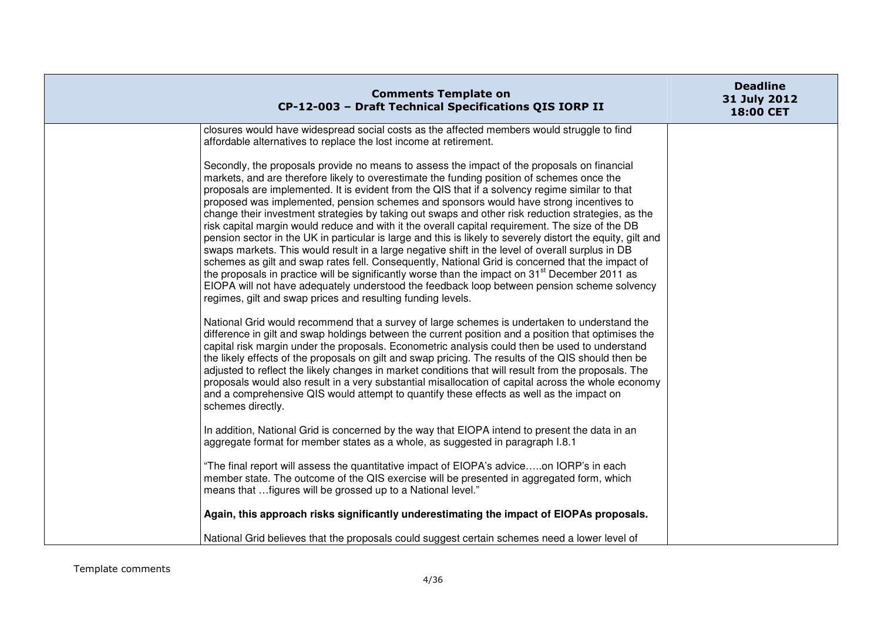| <b>Comments Template on</b><br>CP-12-003 - Draft Technical Specifications QIS IORP II                                                                                                                                                                                                                                                                                                                                                                                                                                                                                                                                                                                                                                                                                                                                                                                                                                                                                                                                                                                                                                                                                                               | <b>Deadline</b><br>31 July 2012<br>18:00 CET |
|-----------------------------------------------------------------------------------------------------------------------------------------------------------------------------------------------------------------------------------------------------------------------------------------------------------------------------------------------------------------------------------------------------------------------------------------------------------------------------------------------------------------------------------------------------------------------------------------------------------------------------------------------------------------------------------------------------------------------------------------------------------------------------------------------------------------------------------------------------------------------------------------------------------------------------------------------------------------------------------------------------------------------------------------------------------------------------------------------------------------------------------------------------------------------------------------------------|----------------------------------------------|
| closures would have widespread social costs as the affected members would struggle to find<br>affordable alternatives to replace the lost income at retirement.                                                                                                                                                                                                                                                                                                                                                                                                                                                                                                                                                                                                                                                                                                                                                                                                                                                                                                                                                                                                                                     |                                              |
| Secondly, the proposals provide no means to assess the impact of the proposals on financial<br>markets, and are therefore likely to overestimate the funding position of schemes once the<br>proposals are implemented. It is evident from the QIS that if a solvency regime similar to that<br>proposed was implemented, pension schemes and sponsors would have strong incentives to<br>change their investment strategies by taking out swaps and other risk reduction strategies, as the<br>risk capital margin would reduce and with it the overall capital requirement. The size of the DB<br>pension sector in the UK in particular is large and this is likely to severely distort the equity, gilt and<br>swaps markets. This would result in a large negative shift in the level of overall surplus in DB<br>schemes as gilt and swap rates fell. Consequently, National Grid is concerned that the impact of<br>the proposals in practice will be significantly worse than the impact on 31 <sup>st</sup> December 2011 as<br>EIOPA will not have adequately understood the feedback loop between pension scheme solvency<br>regimes, gilt and swap prices and resulting funding levels. |                                              |
| National Grid would recommend that a survey of large schemes is undertaken to understand the<br>difference in gilt and swap holdings between the current position and a position that optimises the<br>capital risk margin under the proposals. Econometric analysis could then be used to understand<br>the likely effects of the proposals on gilt and swap pricing. The results of the QIS should then be<br>adjusted to reflect the likely changes in market conditions that will result from the proposals. The<br>proposals would also result in a very substantial misallocation of capital across the whole economy<br>and a comprehensive QIS would attempt to quantify these effects as well as the impact on<br>schemes directly.                                                                                                                                                                                                                                                                                                                                                                                                                                                        |                                              |
| In addition, National Grid is concerned by the way that EIOPA intend to present the data in an<br>aggregate format for member states as a whole, as suggested in paragraph I.8.1                                                                                                                                                                                                                                                                                                                                                                                                                                                                                                                                                                                                                                                                                                                                                                                                                                                                                                                                                                                                                    |                                              |
| "The final report will assess the quantitative impact of EIOPA's adviceon IORP's in each<br>member state. The outcome of the QIS exercise will be presented in aggregated form, which<br>means that  figures will be grossed up to a National level."                                                                                                                                                                                                                                                                                                                                                                                                                                                                                                                                                                                                                                                                                                                                                                                                                                                                                                                                               |                                              |
| Again, this approach risks significantly underestimating the impact of EIOPAs proposals.                                                                                                                                                                                                                                                                                                                                                                                                                                                                                                                                                                                                                                                                                                                                                                                                                                                                                                                                                                                                                                                                                                            |                                              |
| National Grid believes that the proposals could suggest certain schemes need a lower level of                                                                                                                                                                                                                                                                                                                                                                                                                                                                                                                                                                                                                                                                                                                                                                                                                                                                                                                                                                                                                                                                                                       |                                              |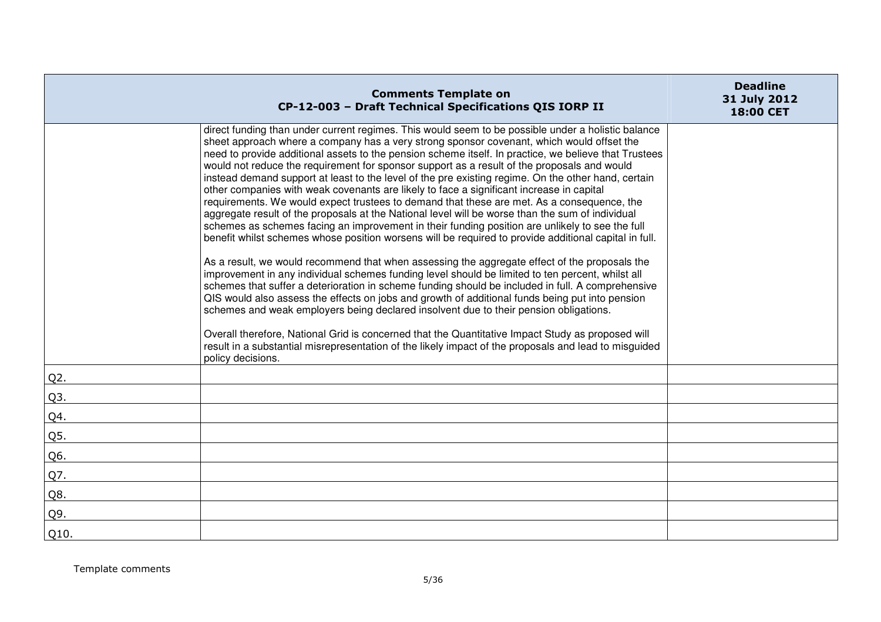|        | <b>Comments Template on</b><br>CP-12-003 - Draft Technical Specifications QIS IORP II                                                                                                                                                                                                                                                                                                                                                                                                                                                                                                                                                                                                                                                                                                                                                                                                                                                                                                                                                                                                                                                                                                                                                                                                                                                                                                                                                                                                                                                                                                                                                                                                                                                                             | <b>Deadline</b><br>31 July 2012<br>18:00 CET |
|--------|-------------------------------------------------------------------------------------------------------------------------------------------------------------------------------------------------------------------------------------------------------------------------------------------------------------------------------------------------------------------------------------------------------------------------------------------------------------------------------------------------------------------------------------------------------------------------------------------------------------------------------------------------------------------------------------------------------------------------------------------------------------------------------------------------------------------------------------------------------------------------------------------------------------------------------------------------------------------------------------------------------------------------------------------------------------------------------------------------------------------------------------------------------------------------------------------------------------------------------------------------------------------------------------------------------------------------------------------------------------------------------------------------------------------------------------------------------------------------------------------------------------------------------------------------------------------------------------------------------------------------------------------------------------------------------------------------------------------------------------------------------------------|----------------------------------------------|
|        | direct funding than under current regimes. This would seem to be possible under a holistic balance<br>sheet approach where a company has a very strong sponsor covenant, which would offset the<br>need to provide additional assets to the pension scheme itself. In practice, we believe that Trustees<br>would not reduce the requirement for sponsor support as a result of the proposals and would<br>instead demand support at least to the level of the pre existing regime. On the other hand, certain<br>other companies with weak covenants are likely to face a significant increase in capital<br>requirements. We would expect trustees to demand that these are met. As a consequence, the<br>aggregate result of the proposals at the National level will be worse than the sum of individual<br>schemes as schemes facing an improvement in their funding position are unlikely to see the full<br>benefit whilst schemes whose position worsens will be required to provide additional capital in full.<br>As a result, we would recommend that when assessing the aggregate effect of the proposals the<br>improvement in any individual schemes funding level should be limited to ten percent, whilst all<br>schemes that suffer a deterioration in scheme funding should be included in full. A comprehensive<br>QIS would also assess the effects on jobs and growth of additional funds being put into pension<br>schemes and weak employers being declared insolvent due to their pension obligations.<br>Overall therefore, National Grid is concerned that the Quantitative Impact Study as proposed will<br>result in a substantial misrepresentation of the likely impact of the proposals and lead to misguided<br>policy decisions. |                                              |
| $Q2$ . |                                                                                                                                                                                                                                                                                                                                                                                                                                                                                                                                                                                                                                                                                                                                                                                                                                                                                                                                                                                                                                                                                                                                                                                                                                                                                                                                                                                                                                                                                                                                                                                                                                                                                                                                                                   |                                              |
| Q3.    |                                                                                                                                                                                                                                                                                                                                                                                                                                                                                                                                                                                                                                                                                                                                                                                                                                                                                                                                                                                                                                                                                                                                                                                                                                                                                                                                                                                                                                                                                                                                                                                                                                                                                                                                                                   |                                              |
| Q4.    |                                                                                                                                                                                                                                                                                                                                                                                                                                                                                                                                                                                                                                                                                                                                                                                                                                                                                                                                                                                                                                                                                                                                                                                                                                                                                                                                                                                                                                                                                                                                                                                                                                                                                                                                                                   |                                              |
| Q5.    |                                                                                                                                                                                                                                                                                                                                                                                                                                                                                                                                                                                                                                                                                                                                                                                                                                                                                                                                                                                                                                                                                                                                                                                                                                                                                                                                                                                                                                                                                                                                                                                                                                                                                                                                                                   |                                              |
| Q6.    |                                                                                                                                                                                                                                                                                                                                                                                                                                                                                                                                                                                                                                                                                                                                                                                                                                                                                                                                                                                                                                                                                                                                                                                                                                                                                                                                                                                                                                                                                                                                                                                                                                                                                                                                                                   |                                              |
| Q7.    |                                                                                                                                                                                                                                                                                                                                                                                                                                                                                                                                                                                                                                                                                                                                                                                                                                                                                                                                                                                                                                                                                                                                                                                                                                                                                                                                                                                                                                                                                                                                                                                                                                                                                                                                                                   |                                              |
| Q8.    |                                                                                                                                                                                                                                                                                                                                                                                                                                                                                                                                                                                                                                                                                                                                                                                                                                                                                                                                                                                                                                                                                                                                                                                                                                                                                                                                                                                                                                                                                                                                                                                                                                                                                                                                                                   |                                              |
| Q9.    |                                                                                                                                                                                                                                                                                                                                                                                                                                                                                                                                                                                                                                                                                                                                                                                                                                                                                                                                                                                                                                                                                                                                                                                                                                                                                                                                                                                                                                                                                                                                                                                                                                                                                                                                                                   |                                              |
| Q10.   |                                                                                                                                                                                                                                                                                                                                                                                                                                                                                                                                                                                                                                                                                                                                                                                                                                                                                                                                                                                                                                                                                                                                                                                                                                                                                                                                                                                                                                                                                                                                                                                                                                                                                                                                                                   |                                              |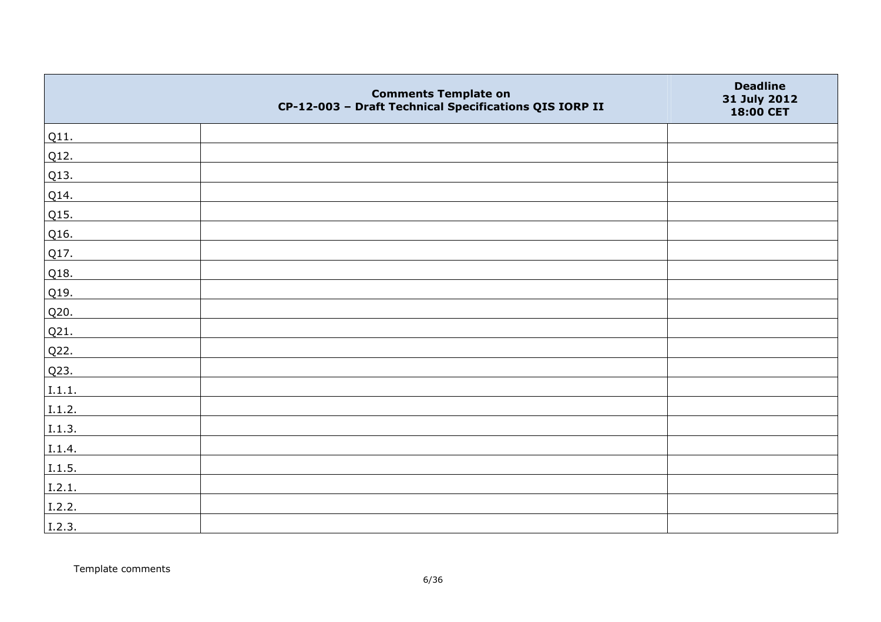|        | <b>Comments Template on</b><br>CP-12-003 - Draft Technical Specifications QIS IORP II | <b>Deadline</b><br>31 July 2012<br>18:00 CET |
|--------|---------------------------------------------------------------------------------------|----------------------------------------------|
| Q11.   |                                                                                       |                                              |
| Q12.   |                                                                                       |                                              |
| Q13.   |                                                                                       |                                              |
| Q14.   |                                                                                       |                                              |
| Q15.   |                                                                                       |                                              |
| Q16.   |                                                                                       |                                              |
| Q17.   |                                                                                       |                                              |
| Q18.   |                                                                                       |                                              |
| Q19.   |                                                                                       |                                              |
| Q20.   |                                                                                       |                                              |
| Q21.   |                                                                                       |                                              |
| Q22.   |                                                                                       |                                              |
| Q23.   |                                                                                       |                                              |
| I.1.1. |                                                                                       |                                              |
| I.1.2. |                                                                                       |                                              |
| 1.1.3. |                                                                                       |                                              |
| I.1.4. |                                                                                       |                                              |
| I.1.5. |                                                                                       |                                              |
| I.2.1. |                                                                                       |                                              |
| I.2.2. |                                                                                       |                                              |
| I.2.3. |                                                                                       |                                              |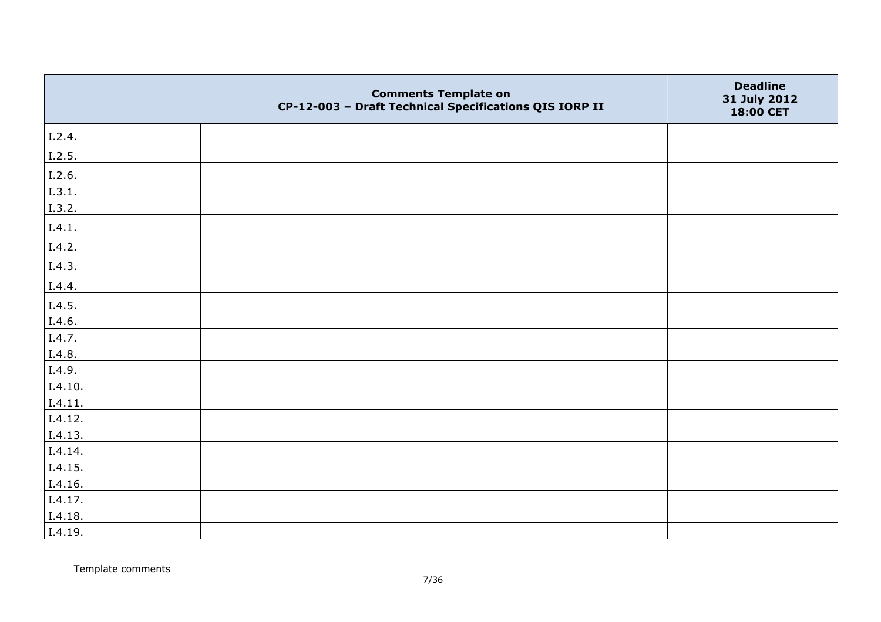|         | <b>Comments Template on</b><br>CP-12-003 - Draft Technical Specifications QIS IORP II | <b>Deadline</b><br>31 July 2012<br>18:00 CET |
|---------|---------------------------------------------------------------------------------------|----------------------------------------------|
| I.2.4.  |                                                                                       |                                              |
| I.2.5.  |                                                                                       |                                              |
| I.2.6.  |                                                                                       |                                              |
| I.3.1.  |                                                                                       |                                              |
| I.3.2.  |                                                                                       |                                              |
| I.4.1.  |                                                                                       |                                              |
| I.4.2.  |                                                                                       |                                              |
| I.4.3.  |                                                                                       |                                              |
| I.4.4.  |                                                                                       |                                              |
| I.4.5.  |                                                                                       |                                              |
| I.4.6.  |                                                                                       |                                              |
| I.4.7.  |                                                                                       |                                              |
| I.4.8.  |                                                                                       |                                              |
| I.4.9.  |                                                                                       |                                              |
| I.4.10. |                                                                                       |                                              |
| I.4.11. |                                                                                       |                                              |
| I.4.12. |                                                                                       |                                              |
| I.4.13. |                                                                                       |                                              |
| I.4.14. |                                                                                       |                                              |
| I.4.15. |                                                                                       |                                              |
| I.4.16. |                                                                                       |                                              |
| I.4.17. |                                                                                       |                                              |
| I.4.18. |                                                                                       |                                              |
| I.4.19. |                                                                                       |                                              |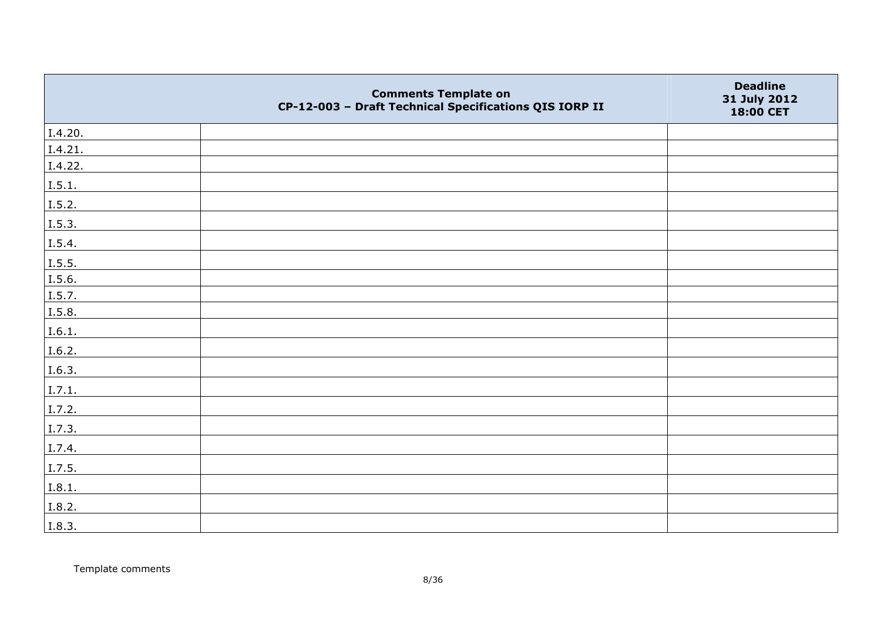|         | <b>Comments Template on</b><br>CP-12-003 - Draft Technical Specifications QIS IORP II | <b>Deadline</b><br>31 July 2012<br>18:00 CET |
|---------|---------------------------------------------------------------------------------------|----------------------------------------------|
| I.4.20. |                                                                                       |                                              |
| I.4.21. |                                                                                       |                                              |
| I.4.22. |                                                                                       |                                              |
| I.5.1.  |                                                                                       |                                              |
| 1.5.2.  |                                                                                       |                                              |
| I.5.3.  |                                                                                       |                                              |
| I.5.4.  |                                                                                       |                                              |
| I.5.5.  |                                                                                       |                                              |
| I.5.6.  |                                                                                       |                                              |
| I.5.7.  |                                                                                       |                                              |
| I.5.8.  |                                                                                       |                                              |
| I.6.1.  |                                                                                       |                                              |
| I.6.2.  |                                                                                       |                                              |
| I.6.3.  |                                                                                       |                                              |
| I.7.1.  |                                                                                       |                                              |
| I.7.2.  |                                                                                       |                                              |
| I.7.3.  |                                                                                       |                                              |
| I.7.4.  |                                                                                       |                                              |
| I.7.5.  |                                                                                       |                                              |
| I.8.1.  |                                                                                       |                                              |
| I.8.2.  |                                                                                       |                                              |
| I.8.3.  |                                                                                       |                                              |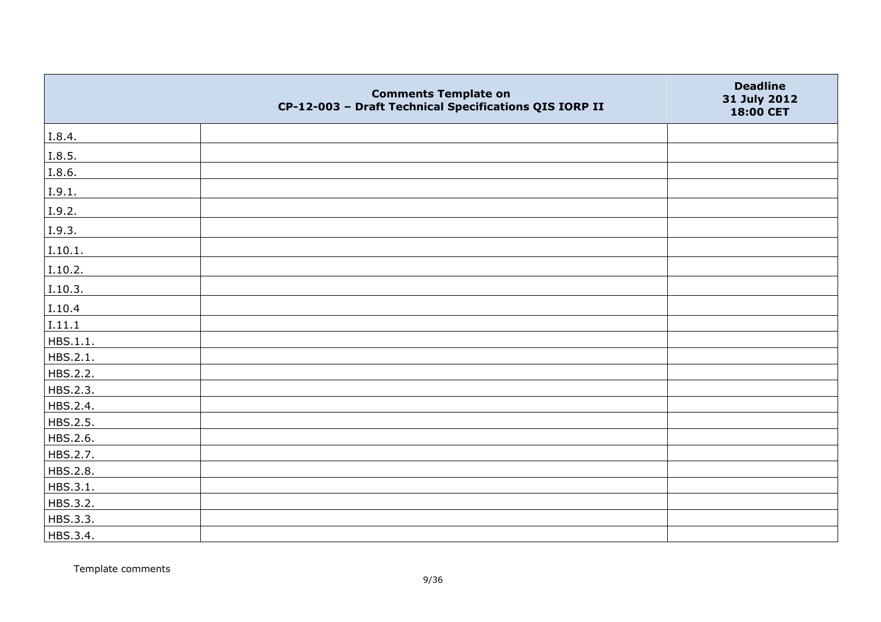|          | <b>Comments Template on</b><br>CP-12-003 - Draft Technical Specifications QIS IORP II | <b>Deadline</b><br>31 July 2012<br>18:00 CET |
|----------|---------------------------------------------------------------------------------------|----------------------------------------------|
| I.8.4.   |                                                                                       |                                              |
| I.8.5.   |                                                                                       |                                              |
| I.8.6.   |                                                                                       |                                              |
| I.9.1.   |                                                                                       |                                              |
| I.9.2.   |                                                                                       |                                              |
| I.9.3.   |                                                                                       |                                              |
| I.10.1.  |                                                                                       |                                              |
| I.10.2.  |                                                                                       |                                              |
| I.10.3.  |                                                                                       |                                              |
| I.10.4   |                                                                                       |                                              |
| I.11.1   |                                                                                       |                                              |
| HBS.1.1. |                                                                                       |                                              |
| HBS.2.1. |                                                                                       |                                              |
| HBS.2.2. |                                                                                       |                                              |
| HBS.2.3. |                                                                                       |                                              |
| HBS.2.4. |                                                                                       |                                              |
| HBS.2.5. |                                                                                       |                                              |
| HBS.2.6. |                                                                                       |                                              |
| HBS.2.7. |                                                                                       |                                              |
| HBS.2.8. |                                                                                       |                                              |
| HBS.3.1. |                                                                                       |                                              |
| HBS.3.2. |                                                                                       |                                              |
| HBS.3.3. |                                                                                       |                                              |
| HBS.3.4. |                                                                                       |                                              |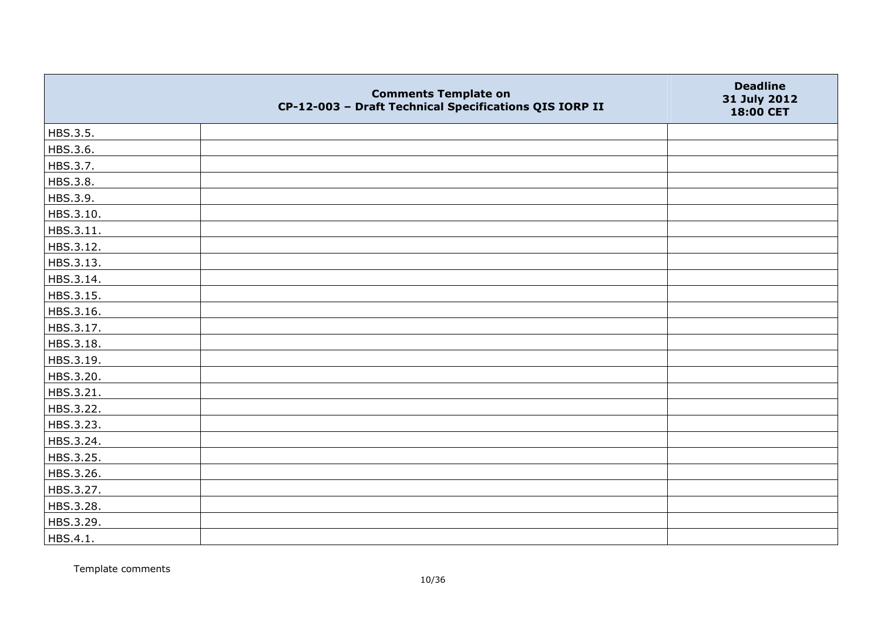|           | <b>Comments Template on</b><br>CP-12-003 - Draft Technical Specifications QIS IORP II | <b>Deadline</b><br>31 July 2012<br>18:00 CET |
|-----------|---------------------------------------------------------------------------------------|----------------------------------------------|
| HBS.3.5.  |                                                                                       |                                              |
| HBS.3.6.  |                                                                                       |                                              |
| HBS.3.7.  |                                                                                       |                                              |
| HBS.3.8.  |                                                                                       |                                              |
| HBS.3.9.  |                                                                                       |                                              |
| HBS.3.10. |                                                                                       |                                              |
| HBS.3.11. |                                                                                       |                                              |
| HBS.3.12. |                                                                                       |                                              |
| HBS.3.13. |                                                                                       |                                              |
| HBS.3.14. |                                                                                       |                                              |
| HBS.3.15. |                                                                                       |                                              |
| HBS.3.16. |                                                                                       |                                              |
| HBS.3.17. |                                                                                       |                                              |
| HBS.3.18. |                                                                                       |                                              |
| HBS.3.19. |                                                                                       |                                              |
| HBS.3.20. |                                                                                       |                                              |
| HBS.3.21. |                                                                                       |                                              |
| HBS.3.22. |                                                                                       |                                              |
| HBS.3.23. |                                                                                       |                                              |
| HBS.3.24. |                                                                                       |                                              |
| HBS.3.25. |                                                                                       |                                              |
| HBS.3.26. |                                                                                       |                                              |
| HBS.3.27. |                                                                                       |                                              |
| HBS.3.28. |                                                                                       |                                              |
| HBS.3.29. |                                                                                       |                                              |
| HBS.4.1.  |                                                                                       |                                              |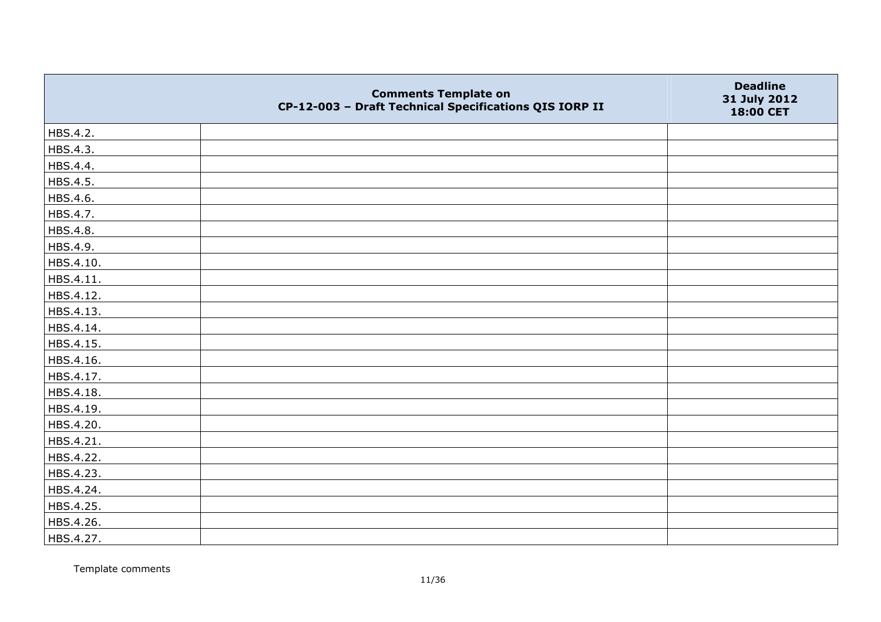|           | <b>Comments Template on</b><br>CP-12-003 - Draft Technical Specifications QIS IORP II | <b>Deadline</b><br>31 July 2012<br>18:00 CET |
|-----------|---------------------------------------------------------------------------------------|----------------------------------------------|
| HBS.4.2.  |                                                                                       |                                              |
| HBS.4.3.  |                                                                                       |                                              |
| HBS.4.4.  |                                                                                       |                                              |
| HBS.4.5.  |                                                                                       |                                              |
| HBS.4.6.  |                                                                                       |                                              |
| HBS.4.7.  |                                                                                       |                                              |
| HBS.4.8.  |                                                                                       |                                              |
| HBS.4.9.  |                                                                                       |                                              |
| HBS.4.10. |                                                                                       |                                              |
| HBS.4.11. |                                                                                       |                                              |
| HBS.4.12. |                                                                                       |                                              |
| HBS.4.13. |                                                                                       |                                              |
| HBS.4.14. |                                                                                       |                                              |
| HBS.4.15. |                                                                                       |                                              |
| HBS.4.16. |                                                                                       |                                              |
| HBS.4.17. |                                                                                       |                                              |
| HBS.4.18. |                                                                                       |                                              |
| HBS.4.19. |                                                                                       |                                              |
| HBS.4.20. |                                                                                       |                                              |
| HBS.4.21. |                                                                                       |                                              |
| HBS.4.22. |                                                                                       |                                              |
| HBS.4.23. |                                                                                       |                                              |
| HBS.4.24. |                                                                                       |                                              |
| HBS.4.25. |                                                                                       |                                              |
| HBS.4.26. |                                                                                       |                                              |
| HBS.4.27. |                                                                                       |                                              |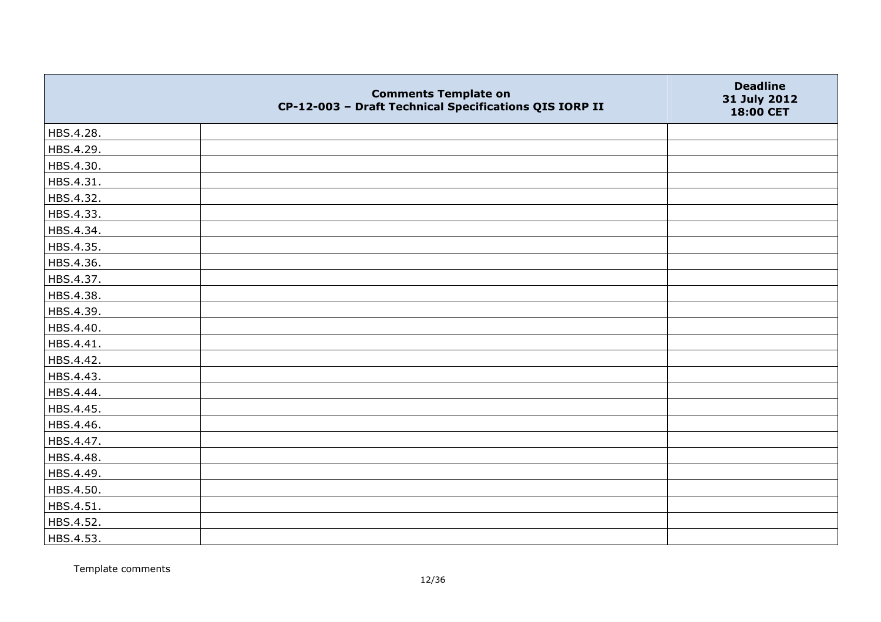|           | <b>Comments Template on</b><br>CP-12-003 - Draft Technical Specifications QIS IORP II | <b>Deadline</b><br>31 July 2012<br>18:00 CET |
|-----------|---------------------------------------------------------------------------------------|----------------------------------------------|
| HBS.4.28. |                                                                                       |                                              |
| HBS.4.29. |                                                                                       |                                              |
| HBS.4.30. |                                                                                       |                                              |
| HBS.4.31. |                                                                                       |                                              |
| HBS.4.32. |                                                                                       |                                              |
| HBS.4.33. |                                                                                       |                                              |
| HBS.4.34. |                                                                                       |                                              |
| HBS.4.35. |                                                                                       |                                              |
| HBS.4.36. |                                                                                       |                                              |
| HBS.4.37. |                                                                                       |                                              |
| HBS.4.38. |                                                                                       |                                              |
| HBS.4.39. |                                                                                       |                                              |
| HBS.4.40. |                                                                                       |                                              |
| HBS.4.41. |                                                                                       |                                              |
| HBS.4.42. |                                                                                       |                                              |
| HBS.4.43. |                                                                                       |                                              |
| HBS.4.44. |                                                                                       |                                              |
| HBS.4.45. |                                                                                       |                                              |
| HBS.4.46. |                                                                                       |                                              |
| HBS.4.47. |                                                                                       |                                              |
| HBS.4.48. |                                                                                       |                                              |
| HBS.4.49. |                                                                                       |                                              |
| HBS.4.50. |                                                                                       |                                              |
| HBS.4.51. |                                                                                       |                                              |
| HBS.4.52. |                                                                                       |                                              |
| HBS.4.53. |                                                                                       |                                              |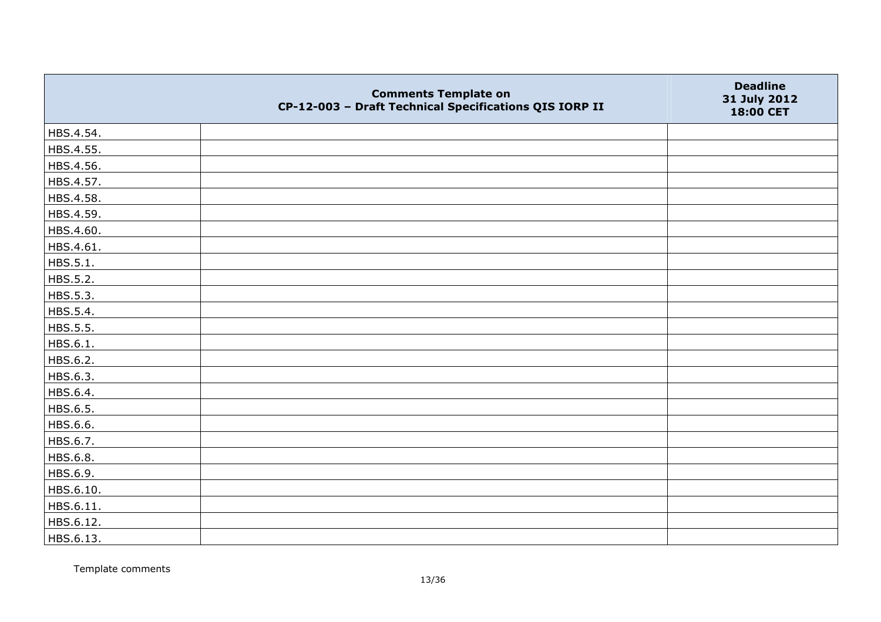|           | <b>Comments Template on</b><br>CP-12-003 - Draft Technical Specifications QIS IORP II | <b>Deadline</b><br>31 July 2012<br>18:00 CET |
|-----------|---------------------------------------------------------------------------------------|----------------------------------------------|
| HBS.4.54. |                                                                                       |                                              |
| HBS.4.55. |                                                                                       |                                              |
| HBS.4.56. |                                                                                       |                                              |
| HBS.4.57. |                                                                                       |                                              |
| HBS.4.58. |                                                                                       |                                              |
| HBS.4.59. |                                                                                       |                                              |
| HBS.4.60. |                                                                                       |                                              |
| HBS.4.61. |                                                                                       |                                              |
| HBS.5.1.  |                                                                                       |                                              |
| HBS.5.2.  |                                                                                       |                                              |
| HBS.5.3.  |                                                                                       |                                              |
| HBS.5.4.  |                                                                                       |                                              |
| HBS.5.5.  |                                                                                       |                                              |
| HBS.6.1.  |                                                                                       |                                              |
| HBS.6.2.  |                                                                                       |                                              |
| HBS.6.3.  |                                                                                       |                                              |
| HBS.6.4.  |                                                                                       |                                              |
| HBS.6.5.  |                                                                                       |                                              |
| HBS.6.6.  |                                                                                       |                                              |
| HBS.6.7.  |                                                                                       |                                              |
| HBS.6.8.  |                                                                                       |                                              |
| HBS.6.9.  |                                                                                       |                                              |
| HBS.6.10. |                                                                                       |                                              |
| HBS.6.11. |                                                                                       |                                              |
| HBS.6.12. |                                                                                       |                                              |
| HBS.6.13. |                                                                                       |                                              |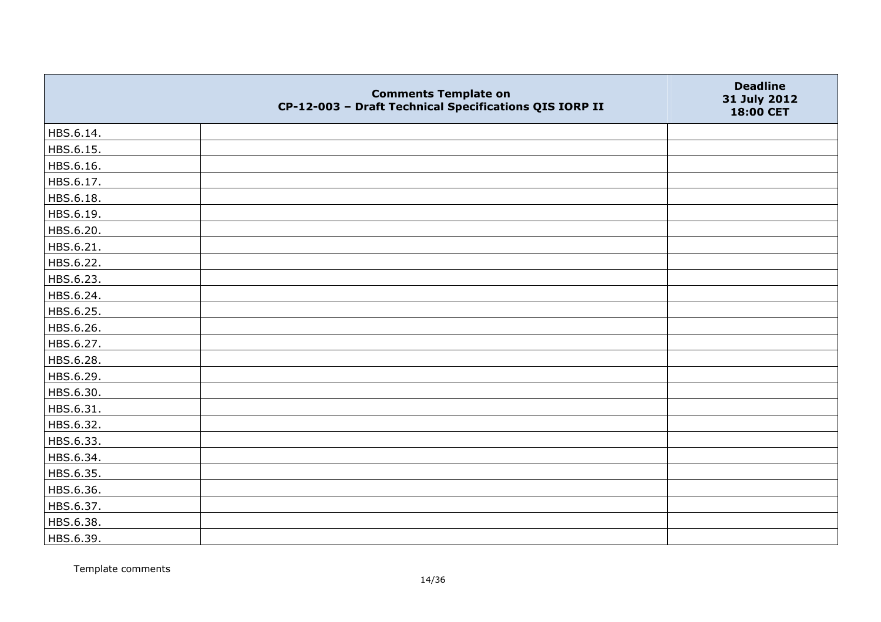|           | <b>Comments Template on</b><br>CP-12-003 - Draft Technical Specifications QIS IORP II | <b>Deadline</b><br>31 July 2012<br>18:00 CET |
|-----------|---------------------------------------------------------------------------------------|----------------------------------------------|
| HBS.6.14. |                                                                                       |                                              |
| HBS.6.15. |                                                                                       |                                              |
| HBS.6.16. |                                                                                       |                                              |
| HBS.6.17. |                                                                                       |                                              |
| HBS.6.18. |                                                                                       |                                              |
| HBS.6.19. |                                                                                       |                                              |
| HBS.6.20. |                                                                                       |                                              |
| HBS.6.21. |                                                                                       |                                              |
| HBS.6.22. |                                                                                       |                                              |
| HBS.6.23. |                                                                                       |                                              |
| HBS.6.24. |                                                                                       |                                              |
| HBS.6.25. |                                                                                       |                                              |
| HBS.6.26. |                                                                                       |                                              |
| HBS.6.27. |                                                                                       |                                              |
| HBS.6.28. |                                                                                       |                                              |
| HBS.6.29. |                                                                                       |                                              |
| HBS.6.30. |                                                                                       |                                              |
| HBS.6.31. |                                                                                       |                                              |
| HBS.6.32. |                                                                                       |                                              |
| HBS.6.33. |                                                                                       |                                              |
| HBS.6.34. |                                                                                       |                                              |
| HBS.6.35. |                                                                                       |                                              |
| HBS.6.36. |                                                                                       |                                              |
| HBS.6.37. |                                                                                       |                                              |
| HBS.6.38. |                                                                                       |                                              |
| HBS.6.39. |                                                                                       |                                              |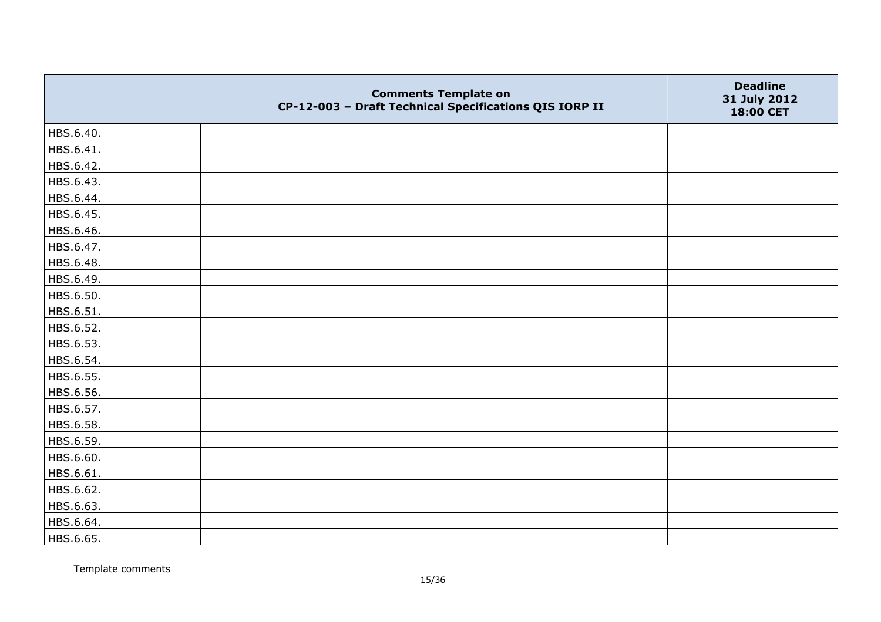|           | <b>Comments Template on</b><br>CP-12-003 - Draft Technical Specifications QIS IORP II | <b>Deadline</b><br>31 July 2012<br>18:00 CET |
|-----------|---------------------------------------------------------------------------------------|----------------------------------------------|
| HBS.6.40. |                                                                                       |                                              |
| HBS.6.41. |                                                                                       |                                              |
| HBS.6.42. |                                                                                       |                                              |
| HBS.6.43. |                                                                                       |                                              |
| HBS.6.44. |                                                                                       |                                              |
| HBS.6.45. |                                                                                       |                                              |
| HBS.6.46. |                                                                                       |                                              |
| HBS.6.47. |                                                                                       |                                              |
| HBS.6.48. |                                                                                       |                                              |
| HBS.6.49. |                                                                                       |                                              |
| HBS.6.50. |                                                                                       |                                              |
| HBS.6.51. |                                                                                       |                                              |
| HBS.6.52. |                                                                                       |                                              |
| HBS.6.53. |                                                                                       |                                              |
| HBS.6.54. |                                                                                       |                                              |
| HBS.6.55. |                                                                                       |                                              |
| HBS.6.56. |                                                                                       |                                              |
| HBS.6.57. |                                                                                       |                                              |
| HBS.6.58. |                                                                                       |                                              |
| HBS.6.59. |                                                                                       |                                              |
| HBS.6.60. |                                                                                       |                                              |
| HBS.6.61. |                                                                                       |                                              |
| HBS.6.62. |                                                                                       |                                              |
| HBS.6.63. |                                                                                       |                                              |
| HBS.6.64. |                                                                                       |                                              |
| HBS.6.65. |                                                                                       |                                              |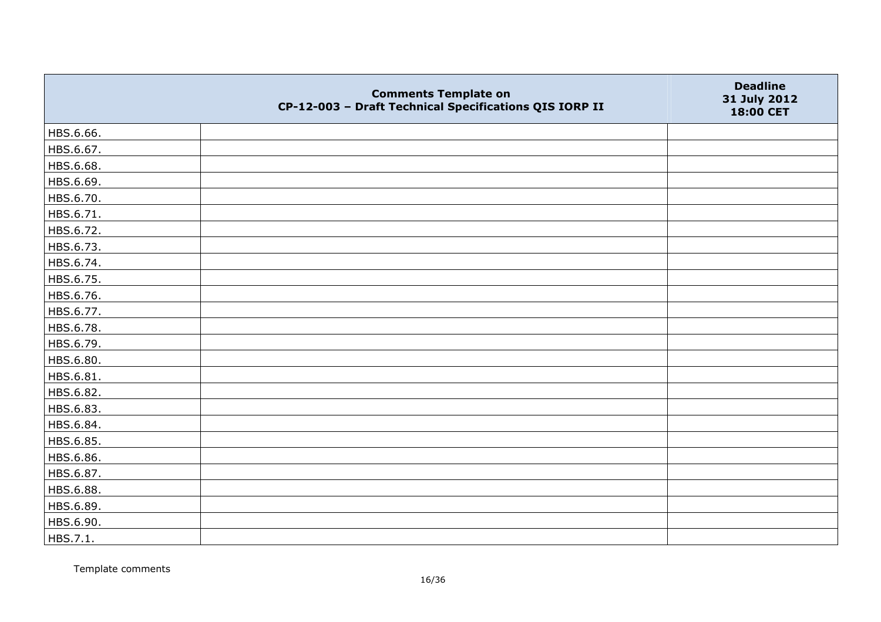|           | <b>Comments Template on</b><br>CP-12-003 - Draft Technical Specifications QIS IORP II | <b>Deadline</b><br>31 July 2012<br>18:00 CET |
|-----------|---------------------------------------------------------------------------------------|----------------------------------------------|
| HBS.6.66. |                                                                                       |                                              |
| HBS.6.67. |                                                                                       |                                              |
| HBS.6.68. |                                                                                       |                                              |
| HBS.6.69. |                                                                                       |                                              |
| HBS.6.70. |                                                                                       |                                              |
| HBS.6.71. |                                                                                       |                                              |
| HBS.6.72. |                                                                                       |                                              |
| HBS.6.73. |                                                                                       |                                              |
| HBS.6.74. |                                                                                       |                                              |
| HBS.6.75. |                                                                                       |                                              |
| HBS.6.76. |                                                                                       |                                              |
| HBS.6.77. |                                                                                       |                                              |
| HBS.6.78. |                                                                                       |                                              |
| HBS.6.79. |                                                                                       |                                              |
| HBS.6.80. |                                                                                       |                                              |
| HBS.6.81. |                                                                                       |                                              |
| HBS.6.82. |                                                                                       |                                              |
| HBS.6.83. |                                                                                       |                                              |
| HBS.6.84. |                                                                                       |                                              |
| HBS.6.85. |                                                                                       |                                              |
| HBS.6.86. |                                                                                       |                                              |
| HBS.6.87. |                                                                                       |                                              |
| HBS.6.88. |                                                                                       |                                              |
| HBS.6.89. |                                                                                       |                                              |
| HBS.6.90. |                                                                                       |                                              |
| HBS.7.1.  |                                                                                       |                                              |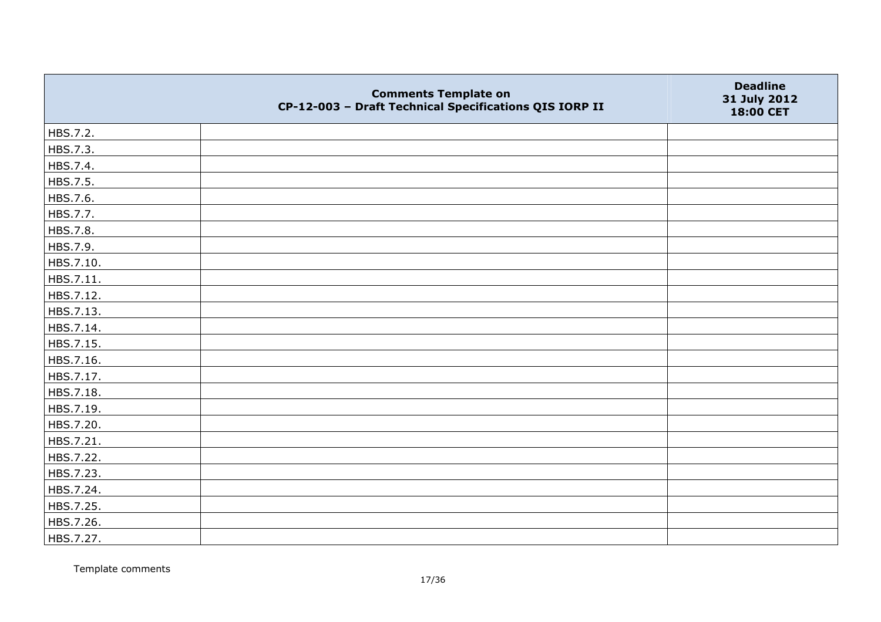|           | <b>Comments Template on</b><br>CP-12-003 - Draft Technical Specifications QIS IORP II | <b>Deadline</b><br>31 July 2012<br>18:00 CET |
|-----------|---------------------------------------------------------------------------------------|----------------------------------------------|
| HBS.7.2.  |                                                                                       |                                              |
| HBS.7.3.  |                                                                                       |                                              |
| HBS.7.4.  |                                                                                       |                                              |
| HBS.7.5.  |                                                                                       |                                              |
| HBS.7.6.  |                                                                                       |                                              |
| HBS.7.7.  |                                                                                       |                                              |
| HBS.7.8.  |                                                                                       |                                              |
| HBS.7.9.  |                                                                                       |                                              |
| HBS.7.10. |                                                                                       |                                              |
| HBS.7.11. |                                                                                       |                                              |
| HBS.7.12. |                                                                                       |                                              |
| HBS.7.13. |                                                                                       |                                              |
| HBS.7.14. |                                                                                       |                                              |
| HBS.7.15. |                                                                                       |                                              |
| HBS.7.16. |                                                                                       |                                              |
| HBS.7.17. |                                                                                       |                                              |
| HBS.7.18. |                                                                                       |                                              |
| HBS.7.19. |                                                                                       |                                              |
| HBS.7.20. |                                                                                       |                                              |
| HBS.7.21. |                                                                                       |                                              |
| HBS.7.22. |                                                                                       |                                              |
| HBS.7.23. |                                                                                       |                                              |
| HBS.7.24. |                                                                                       |                                              |
| HBS.7.25. |                                                                                       |                                              |
| HBS.7.26. |                                                                                       |                                              |
| HBS.7.27. |                                                                                       |                                              |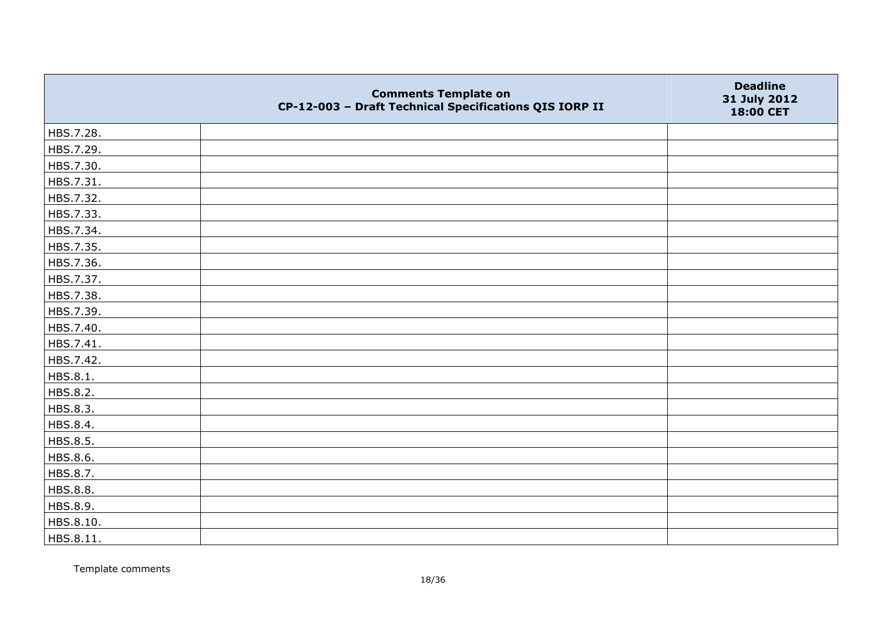|           | <b>Comments Template on</b><br>CP-12-003 - Draft Technical Specifications QIS IORP II | <b>Deadline</b><br>31 July 2012<br>18:00 CET |
|-----------|---------------------------------------------------------------------------------------|----------------------------------------------|
| HBS.7.28. |                                                                                       |                                              |
| HBS.7.29. |                                                                                       |                                              |
| HBS.7.30. |                                                                                       |                                              |
| HBS.7.31. |                                                                                       |                                              |
| HBS.7.32. |                                                                                       |                                              |
| HBS.7.33. |                                                                                       |                                              |
| HBS.7.34. |                                                                                       |                                              |
| HBS.7.35. |                                                                                       |                                              |
| HBS.7.36. |                                                                                       |                                              |
| HBS.7.37. |                                                                                       |                                              |
| HBS.7.38. |                                                                                       |                                              |
| HBS.7.39. |                                                                                       |                                              |
| HBS.7.40. |                                                                                       |                                              |
| HBS.7.41. |                                                                                       |                                              |
| HBS.7.42. |                                                                                       |                                              |
| HBS.8.1.  |                                                                                       |                                              |
| HBS.8.2.  |                                                                                       |                                              |
| HBS.8.3.  |                                                                                       |                                              |
| HBS.8.4.  |                                                                                       |                                              |
| HBS.8.5.  |                                                                                       |                                              |
| HBS.8.6.  |                                                                                       |                                              |
| HBS.8.7.  |                                                                                       |                                              |
| HBS.8.8.  |                                                                                       |                                              |
| HBS.8.9.  |                                                                                       |                                              |
| HBS.8.10. |                                                                                       |                                              |
| HBS.8.11. |                                                                                       |                                              |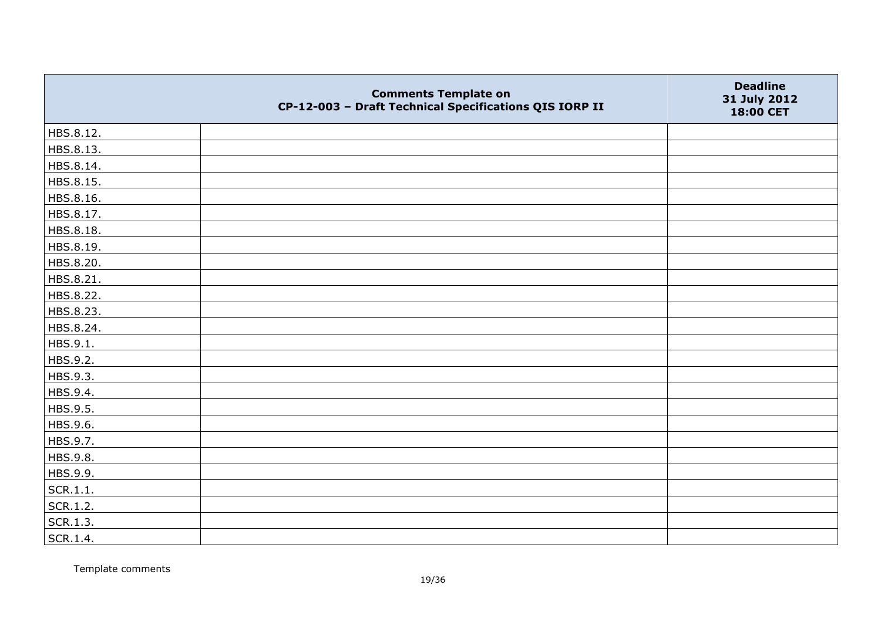|           | <b>Comments Template on</b><br>CP-12-003 - Draft Technical Specifications QIS IORP II | <b>Deadline</b><br>31 July 2012<br>18:00 CET |
|-----------|---------------------------------------------------------------------------------------|----------------------------------------------|
| HBS.8.12. |                                                                                       |                                              |
| HBS.8.13. |                                                                                       |                                              |
| HBS.8.14. |                                                                                       |                                              |
| HBS.8.15. |                                                                                       |                                              |
| HBS.8.16. |                                                                                       |                                              |
| HBS.8.17. |                                                                                       |                                              |
| HBS.8.18. |                                                                                       |                                              |
| HBS.8.19. |                                                                                       |                                              |
| HBS.8.20. |                                                                                       |                                              |
| HBS.8.21. |                                                                                       |                                              |
| HBS.8.22. |                                                                                       |                                              |
| HBS.8.23. |                                                                                       |                                              |
| HBS.8.24. |                                                                                       |                                              |
| HBS.9.1.  |                                                                                       |                                              |
| HBS.9.2.  |                                                                                       |                                              |
| HBS.9.3.  |                                                                                       |                                              |
| HBS.9.4.  |                                                                                       |                                              |
| HBS.9.5.  |                                                                                       |                                              |
| HBS.9.6.  |                                                                                       |                                              |
| HBS.9.7.  |                                                                                       |                                              |
| HBS.9.8.  |                                                                                       |                                              |
| HBS.9.9.  |                                                                                       |                                              |
| SCR.1.1.  |                                                                                       |                                              |
| SCR.1.2.  |                                                                                       |                                              |
| SCR.1.3.  |                                                                                       |                                              |
| SCR.1.4.  |                                                                                       |                                              |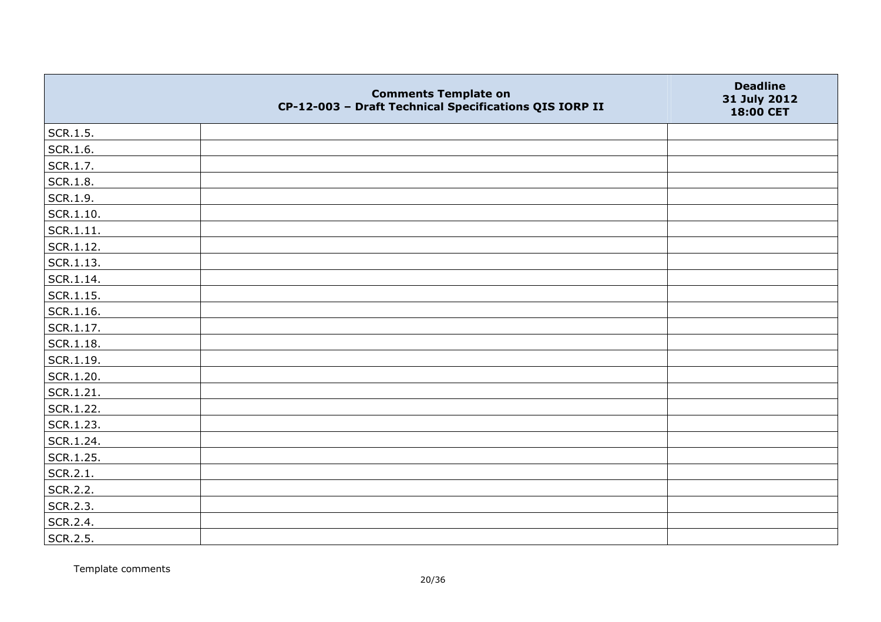|                   | <b>Comments Template on</b><br>CP-12-003 - Draft Technical Specifications QIS IORP II | <b>Deadline</b><br>31 July 2012<br>18:00 CET |
|-------------------|---------------------------------------------------------------------------------------|----------------------------------------------|
| SCR.1.5.          |                                                                                       |                                              |
| SCR.1.6.          |                                                                                       |                                              |
| SCR.1.7.          |                                                                                       |                                              |
| SCR.1.8.          |                                                                                       |                                              |
| SCR.1.9.          |                                                                                       |                                              |
| $\vert$ SCR.1.10. |                                                                                       |                                              |
| SCR.1.11.         |                                                                                       |                                              |
| SCR.1.12.         |                                                                                       |                                              |
| SCR.1.13.         |                                                                                       |                                              |
| SCR.1.14.         |                                                                                       |                                              |
| $ $ SCR.1.15.     |                                                                                       |                                              |
| SCR.1.16.         |                                                                                       |                                              |
| SCR.1.17.         |                                                                                       |                                              |
| $ $ SCR.1.18.     |                                                                                       |                                              |
| SCR.1.19.         |                                                                                       |                                              |
| SCR.1.20.         |                                                                                       |                                              |
| SCR.1.21.         |                                                                                       |                                              |
| SCR.1.22.         |                                                                                       |                                              |
| SCR.1.23.         |                                                                                       |                                              |
| SCR.1.24.         |                                                                                       |                                              |
| SCR.1.25.         |                                                                                       |                                              |
| SCR.2.1.          |                                                                                       |                                              |
| SCR.2.2.          |                                                                                       |                                              |
| SCR.2.3.          |                                                                                       |                                              |
| SCR.2.4.          |                                                                                       |                                              |
| SCR.2.5.          |                                                                                       |                                              |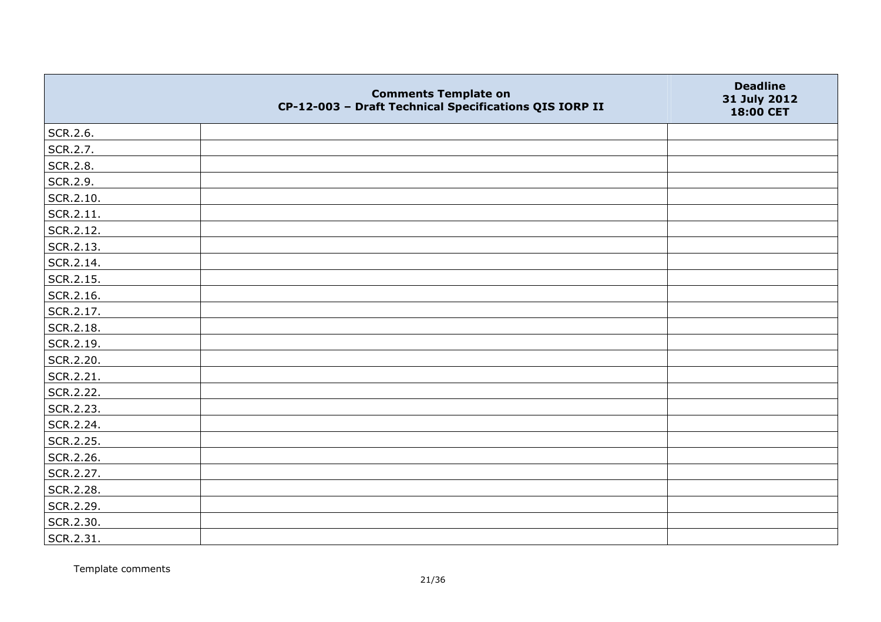|                   | <b>Comments Template on</b><br>CP-12-003 - Draft Technical Specifications QIS IORP II | <b>Deadline</b><br>31 July 2012<br>18:00 CET |
|-------------------|---------------------------------------------------------------------------------------|----------------------------------------------|
| SCR.2.6.          |                                                                                       |                                              |
| SCR.2.7.          |                                                                                       |                                              |
| SCR.2.8.          |                                                                                       |                                              |
| SCR.2.9.          |                                                                                       |                                              |
| SCR.2.10.         |                                                                                       |                                              |
| $\vert$ SCR.2.11. |                                                                                       |                                              |
| SCR.2.12.         |                                                                                       |                                              |
| SCR.2.13.         |                                                                                       |                                              |
| SCR.2.14.         |                                                                                       |                                              |
| SCR.2.15.         |                                                                                       |                                              |
| SCR.2.16.         |                                                                                       |                                              |
| SCR.2.17.         |                                                                                       |                                              |
| SCR.2.18.         |                                                                                       |                                              |
| SCR.2.19.         |                                                                                       |                                              |
| SCR.2.20.         |                                                                                       |                                              |
| SCR.2.21.         |                                                                                       |                                              |
| SCR.2.22.         |                                                                                       |                                              |
| SCR.2.23.         |                                                                                       |                                              |
| SCR.2.24.         |                                                                                       |                                              |
| SCR.2.25.         |                                                                                       |                                              |
| SCR.2.26.         |                                                                                       |                                              |
| SCR.2.27.         |                                                                                       |                                              |
| SCR.2.28.         |                                                                                       |                                              |
| SCR.2.29.         |                                                                                       |                                              |
| SCR.2.30.         |                                                                                       |                                              |
| SCR.2.31.         |                                                                                       |                                              |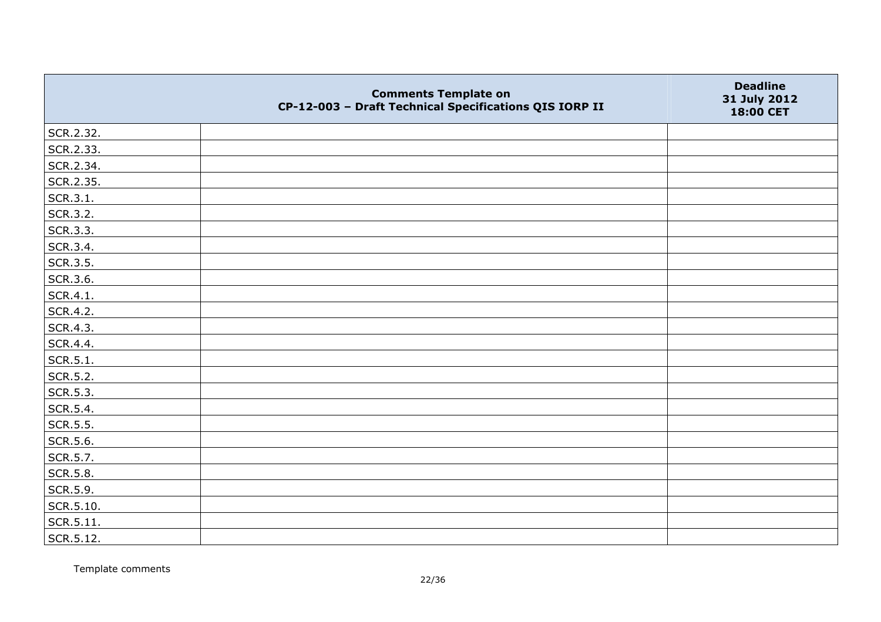|           | <b>Comments Template on</b><br>CP-12-003 - Draft Technical Specifications QIS IORP II | <b>Deadline</b><br>31 July 2012<br>18:00 CET |
|-----------|---------------------------------------------------------------------------------------|----------------------------------------------|
| SCR.2.32. |                                                                                       |                                              |
| SCR.2.33. |                                                                                       |                                              |
| SCR.2.34. |                                                                                       |                                              |
| SCR.2.35. |                                                                                       |                                              |
| SCR.3.1.  |                                                                                       |                                              |
| SCR.3.2.  |                                                                                       |                                              |
| SCR.3.3.  |                                                                                       |                                              |
| SCR.3.4.  |                                                                                       |                                              |
| SCR.3.5.  |                                                                                       |                                              |
| SCR.3.6.  |                                                                                       |                                              |
| SCR.4.1.  |                                                                                       |                                              |
| SCR.4.2.  |                                                                                       |                                              |
| SCR.4.3.  |                                                                                       |                                              |
| SCR.4.4.  |                                                                                       |                                              |
| SCR.5.1.  |                                                                                       |                                              |
| SCR.5.2.  |                                                                                       |                                              |
| SCR.5.3.  |                                                                                       |                                              |
| SCR.5.4.  |                                                                                       |                                              |
| SCR.5.5.  |                                                                                       |                                              |
| SCR.5.6.  |                                                                                       |                                              |
| SCR.5.7.  |                                                                                       |                                              |
| SCR.5.8.  |                                                                                       |                                              |
| SCR.5.9.  |                                                                                       |                                              |
| SCR.5.10. |                                                                                       |                                              |
| SCR.5.11. |                                                                                       |                                              |
| SCR.5.12. |                                                                                       |                                              |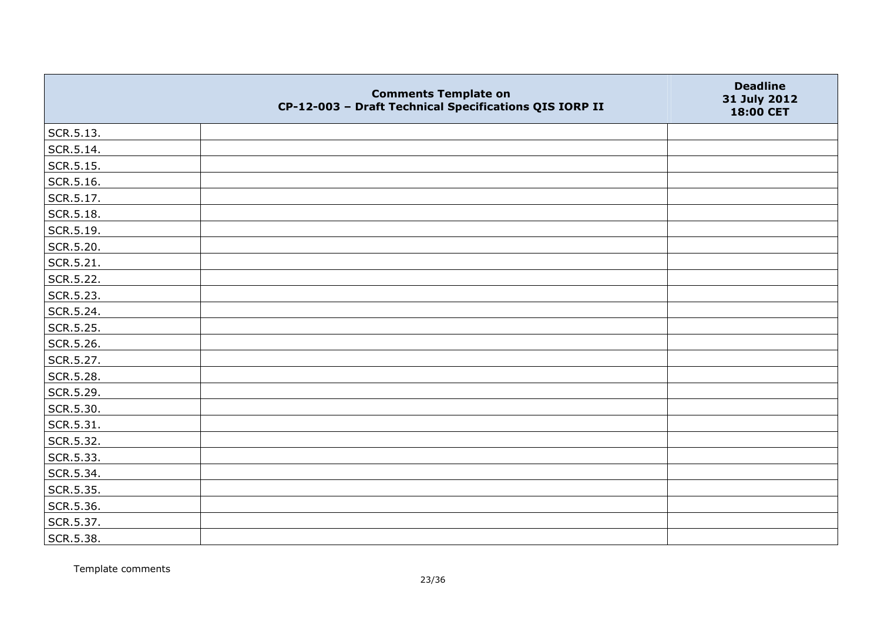|                   | <b>Comments Template on</b><br>CP-12-003 - Draft Technical Specifications QIS IORP II | <b>Deadline</b><br>31 July 2012<br>18:00 CET |
|-------------------|---------------------------------------------------------------------------------------|----------------------------------------------|
| SCR.5.13.         |                                                                                       |                                              |
| SCR.5.14.         |                                                                                       |                                              |
| SCR.5.15.         |                                                                                       |                                              |
| $\vert$ SCR.5.16. |                                                                                       |                                              |
| SCR.5.17.         |                                                                                       |                                              |
| SCR.5.18.         |                                                                                       |                                              |
| SCR.5.19.         |                                                                                       |                                              |
| SCR.5.20.         |                                                                                       |                                              |
| SCR.5.21.         |                                                                                       |                                              |
| SCR.5.22.         |                                                                                       |                                              |
| SCR.5.23.         |                                                                                       |                                              |
| SCR.5.24.         |                                                                                       |                                              |
| SCR.5.25.         |                                                                                       |                                              |
| SCR.5.26.         |                                                                                       |                                              |
| SCR.5.27.         |                                                                                       |                                              |
| SCR.5.28.         |                                                                                       |                                              |
| SCR.5.29.         |                                                                                       |                                              |
| SCR.5.30.         |                                                                                       |                                              |
| SCR.5.31.         |                                                                                       |                                              |
| SCR.5.32.         |                                                                                       |                                              |
| SCR.5.33.         |                                                                                       |                                              |
| SCR.5.34.         |                                                                                       |                                              |
| SCR.5.35.         |                                                                                       |                                              |
| SCR.5.36.         |                                                                                       |                                              |
| SCR.5.37.         |                                                                                       |                                              |
| SCR.5.38.         |                                                                                       |                                              |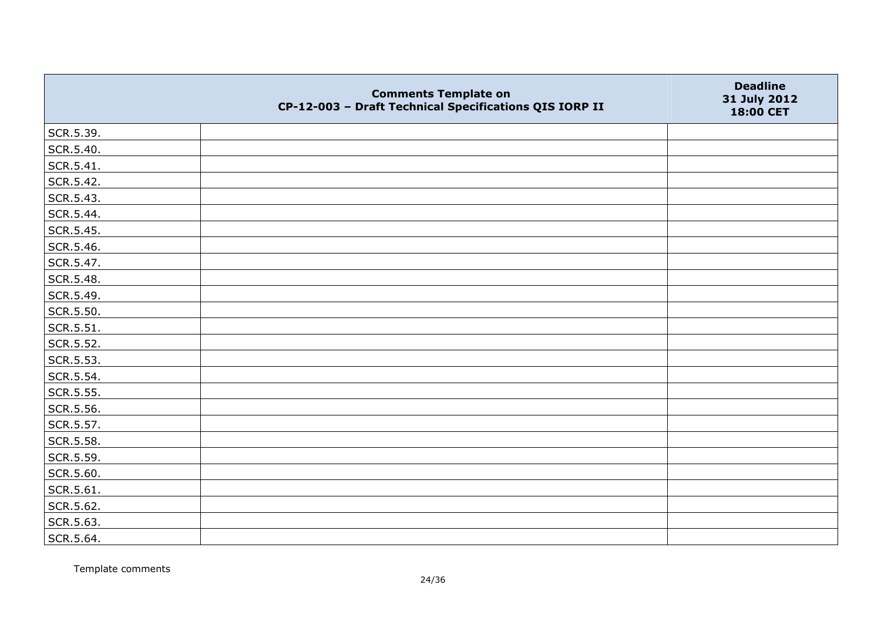|           | <b>Comments Template on</b><br>CP-12-003 - Draft Technical Specifications QIS IORP II | <b>Deadline</b><br>31 July 2012<br>18:00 CET |
|-----------|---------------------------------------------------------------------------------------|----------------------------------------------|
| SCR.5.39. |                                                                                       |                                              |
| SCR.5.40. |                                                                                       |                                              |
| SCR.5.41. |                                                                                       |                                              |
| SCR.5.42. |                                                                                       |                                              |
| SCR.5.43. |                                                                                       |                                              |
| SCR.5.44. |                                                                                       |                                              |
| SCR.5.45. |                                                                                       |                                              |
| SCR.5.46. |                                                                                       |                                              |
| SCR.5.47. |                                                                                       |                                              |
| SCR.5.48. |                                                                                       |                                              |
| SCR.5.49. |                                                                                       |                                              |
| SCR.5.50. |                                                                                       |                                              |
| SCR.5.51. |                                                                                       |                                              |
| SCR.5.52. |                                                                                       |                                              |
| SCR.5.53. |                                                                                       |                                              |
| SCR.5.54. |                                                                                       |                                              |
| SCR.5.55. |                                                                                       |                                              |
| SCR.5.56. |                                                                                       |                                              |
| SCR.5.57. |                                                                                       |                                              |
| SCR.5.58. |                                                                                       |                                              |
| SCR.5.59. |                                                                                       |                                              |
| SCR.5.60. |                                                                                       |                                              |
| SCR.5.61. |                                                                                       |                                              |
| SCR.5.62. |                                                                                       |                                              |
| SCR.5.63. |                                                                                       |                                              |
| SCR.5.64. |                                                                                       |                                              |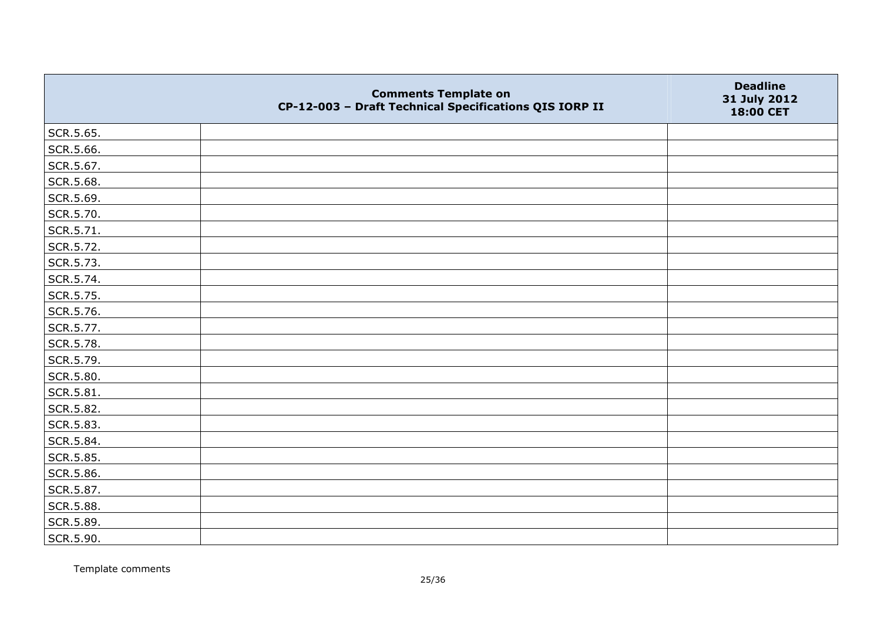|           | <b>Comments Template on</b><br>CP-12-003 - Draft Technical Specifications QIS IORP II | <b>Deadline</b><br>31 July 2012<br>18:00 CET |
|-----------|---------------------------------------------------------------------------------------|----------------------------------------------|
| SCR.5.65. |                                                                                       |                                              |
| SCR.5.66. |                                                                                       |                                              |
| SCR.5.67. |                                                                                       |                                              |
| SCR.5.68. |                                                                                       |                                              |
| SCR.5.69. |                                                                                       |                                              |
| SCR.5.70. |                                                                                       |                                              |
| SCR.5.71. |                                                                                       |                                              |
| SCR.5.72. |                                                                                       |                                              |
| SCR.5.73. |                                                                                       |                                              |
| SCR.5.74. |                                                                                       |                                              |
| SCR.5.75. |                                                                                       |                                              |
| SCR.5.76. |                                                                                       |                                              |
| SCR.5.77. |                                                                                       |                                              |
| SCR.5.78. |                                                                                       |                                              |
| SCR.5.79. |                                                                                       |                                              |
| SCR.5.80. |                                                                                       |                                              |
| SCR.5.81. |                                                                                       |                                              |
| SCR.5.82. |                                                                                       |                                              |
| SCR.5.83. |                                                                                       |                                              |
| SCR.5.84. |                                                                                       |                                              |
| SCR.5.85. |                                                                                       |                                              |
| SCR.5.86. |                                                                                       |                                              |
| SCR.5.87. |                                                                                       |                                              |
| SCR.5.88. |                                                                                       |                                              |
| SCR.5.89. |                                                                                       |                                              |
| SCR.5.90. |                                                                                       |                                              |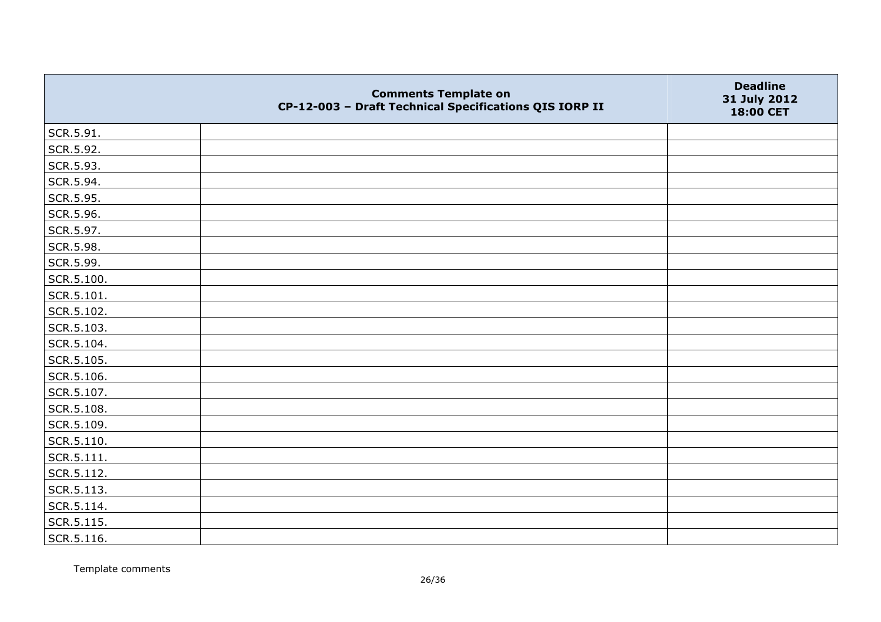|                | <b>Comments Template on</b><br>CP-12-003 - Draft Technical Specifications QIS IORP II | <b>Deadline</b><br>31 July 2012<br>18:00 CET |
|----------------|---------------------------------------------------------------------------------------|----------------------------------------------|
| SCR.5.91.      |                                                                                       |                                              |
| SCR.5.92.      |                                                                                       |                                              |
| SCR.5.93.      |                                                                                       |                                              |
| SCR.5.94.      |                                                                                       |                                              |
| SCR.5.95.      |                                                                                       |                                              |
| SCR.5.96.      |                                                                                       |                                              |
| SCR.5.97.      |                                                                                       |                                              |
| SCR.5.98.      |                                                                                       |                                              |
| SCR.5.99.      |                                                                                       |                                              |
| SCR.5.100.     |                                                                                       |                                              |
| SCR.5.101.     |                                                                                       |                                              |
| SCR.5.102.     |                                                                                       |                                              |
| SCR.5.103.     |                                                                                       |                                              |
| SCR.5.104.     |                                                                                       |                                              |
| SCR.5.105.     |                                                                                       |                                              |
| SCR.5.106.     |                                                                                       |                                              |
| SCR.5.107.     |                                                                                       |                                              |
| SCR.5.108.     |                                                                                       |                                              |
| SCR.5.109.     |                                                                                       |                                              |
| SCR.5.110.     |                                                                                       |                                              |
| $ $ SCR.5.111. |                                                                                       |                                              |
| SCR.5.112.     |                                                                                       |                                              |
| SCR.5.113.     |                                                                                       |                                              |
| SCR.5.114.     |                                                                                       |                                              |
| SCR.5.115.     |                                                                                       |                                              |
| SCR.5.116.     |                                                                                       |                                              |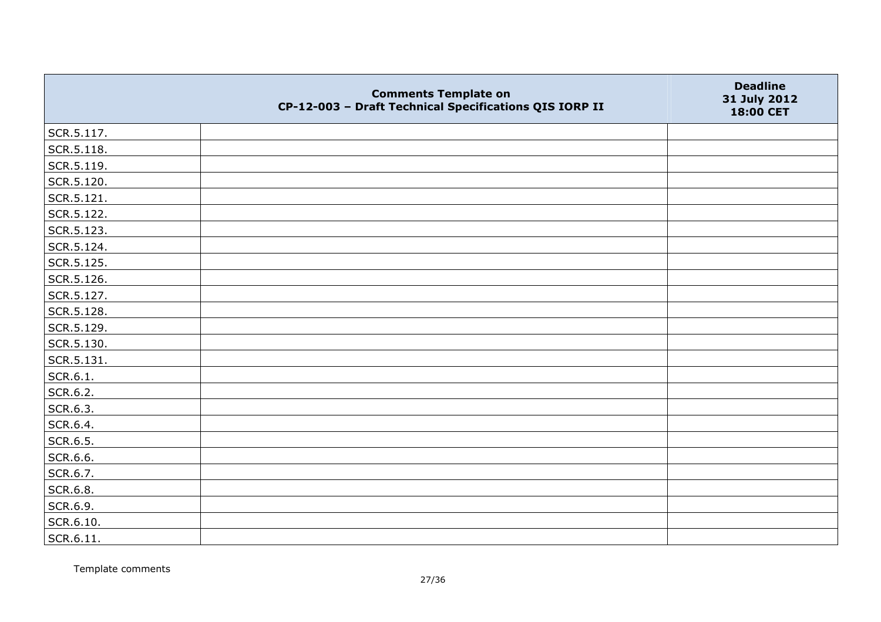|                   | <b>Comments Template on</b><br>CP-12-003 - Draft Technical Specifications QIS IORP II | <b>Deadline</b><br>31 July 2012<br>18:00 CET |
|-------------------|---------------------------------------------------------------------------------------|----------------------------------------------|
| SCR.5.117.        |                                                                                       |                                              |
| SCR.5.118.        |                                                                                       |                                              |
| SCR.5.119.        |                                                                                       |                                              |
| SCR.5.120.        |                                                                                       |                                              |
| SCR.5.121.        |                                                                                       |                                              |
| SCR.5.122.        |                                                                                       |                                              |
| SCR.5.123.        |                                                                                       |                                              |
| SCR.5.124.        |                                                                                       |                                              |
| SCR.5.125.        |                                                                                       |                                              |
| SCR.5.126.        |                                                                                       |                                              |
| SCR.5.127.        |                                                                                       |                                              |
| SCR.5.128.        |                                                                                       |                                              |
| SCR.5.129.        |                                                                                       |                                              |
| SCR.5.130.        |                                                                                       |                                              |
| SCR.5.131.        |                                                                                       |                                              |
| SCR.6.1.          |                                                                                       |                                              |
| SCR.6.2.          |                                                                                       |                                              |
| SCR.6.3.          |                                                                                       |                                              |
| SCR.6.4.          |                                                                                       |                                              |
| SCR.6.5.          |                                                                                       |                                              |
| SCR.6.6.          |                                                                                       |                                              |
| SCR.6.7.          |                                                                                       |                                              |
| SCR.6.8.          |                                                                                       |                                              |
| SCR.6.9.          |                                                                                       |                                              |
| SCR.6.10.         |                                                                                       |                                              |
| $\vert$ SCR.6.11. |                                                                                       |                                              |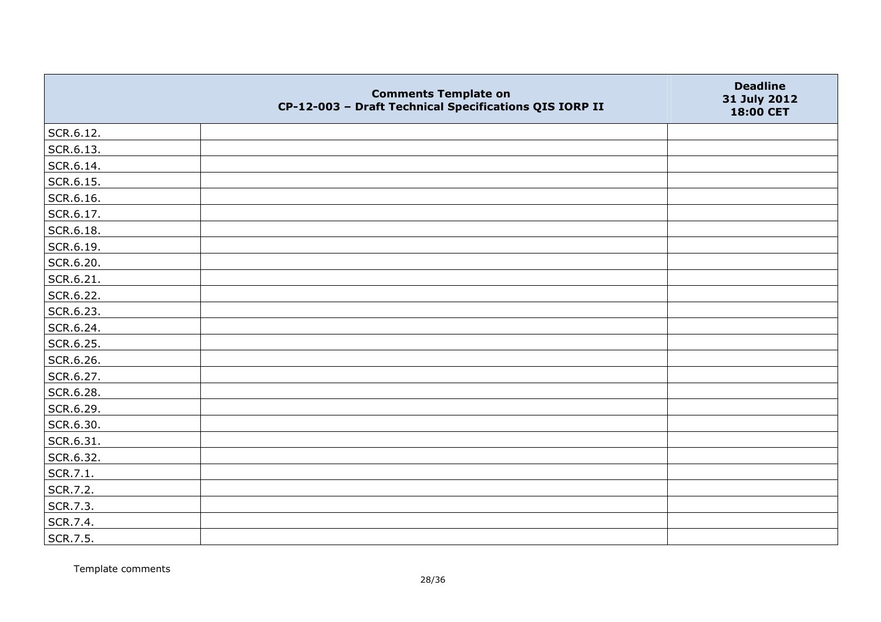|           | <b>Comments Template on</b><br>CP-12-003 - Draft Technical Specifications QIS IORP II | <b>Deadline</b><br>31 July 2012<br>18:00 CET |
|-----------|---------------------------------------------------------------------------------------|----------------------------------------------|
| SCR.6.12. |                                                                                       |                                              |
| SCR.6.13. |                                                                                       |                                              |
| SCR.6.14. |                                                                                       |                                              |
| SCR.6.15. |                                                                                       |                                              |
| SCR.6.16. |                                                                                       |                                              |
| SCR.6.17. |                                                                                       |                                              |
| SCR.6.18. |                                                                                       |                                              |
| SCR.6.19. |                                                                                       |                                              |
| SCR.6.20. |                                                                                       |                                              |
| SCR.6.21. |                                                                                       |                                              |
| SCR.6.22. |                                                                                       |                                              |
| SCR.6.23. |                                                                                       |                                              |
| SCR.6.24. |                                                                                       |                                              |
| SCR.6.25. |                                                                                       |                                              |
| SCR.6.26. |                                                                                       |                                              |
| SCR.6.27. |                                                                                       |                                              |
| SCR.6.28. |                                                                                       |                                              |
| SCR.6.29. |                                                                                       |                                              |
| SCR.6.30. |                                                                                       |                                              |
| SCR.6.31. |                                                                                       |                                              |
| SCR.6.32. |                                                                                       |                                              |
| SCR.7.1.  |                                                                                       |                                              |
| SCR.7.2.  |                                                                                       |                                              |
| SCR.7.3.  |                                                                                       |                                              |
| SCR.7.4.  |                                                                                       |                                              |
| SCR.7.5.  |                                                                                       |                                              |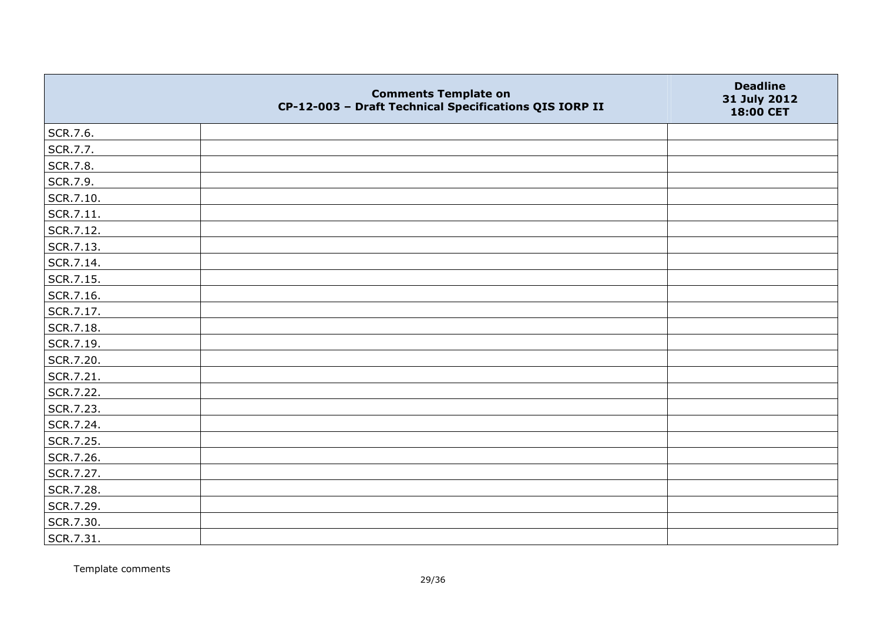|           | <b>Comments Template on</b><br>CP-12-003 - Draft Technical Specifications QIS IORP II | <b>Deadline</b><br>31 July 2012<br>18:00 CET |
|-----------|---------------------------------------------------------------------------------------|----------------------------------------------|
| SCR.7.6.  |                                                                                       |                                              |
| SCR.7.7.  |                                                                                       |                                              |
| SCR.7.8.  |                                                                                       |                                              |
| SCR.7.9.  |                                                                                       |                                              |
| SCR.7.10. |                                                                                       |                                              |
| SCR.7.11. |                                                                                       |                                              |
| SCR.7.12. |                                                                                       |                                              |
| SCR.7.13. |                                                                                       |                                              |
| SCR.7.14. |                                                                                       |                                              |
| SCR.7.15. |                                                                                       |                                              |
| SCR.7.16. |                                                                                       |                                              |
| SCR.7.17. |                                                                                       |                                              |
| SCR.7.18. |                                                                                       |                                              |
| SCR.7.19. |                                                                                       |                                              |
| SCR.7.20. |                                                                                       |                                              |
| SCR.7.21. |                                                                                       |                                              |
| SCR.7.22. |                                                                                       |                                              |
| SCR.7.23. |                                                                                       |                                              |
| SCR.7.24. |                                                                                       |                                              |
| SCR.7.25. |                                                                                       |                                              |
| SCR.7.26. |                                                                                       |                                              |
| SCR.7.27. |                                                                                       |                                              |
| SCR.7.28. |                                                                                       |                                              |
| SCR.7.29. |                                                                                       |                                              |
| SCR.7.30. |                                                                                       |                                              |
| SCR.7.31. |                                                                                       |                                              |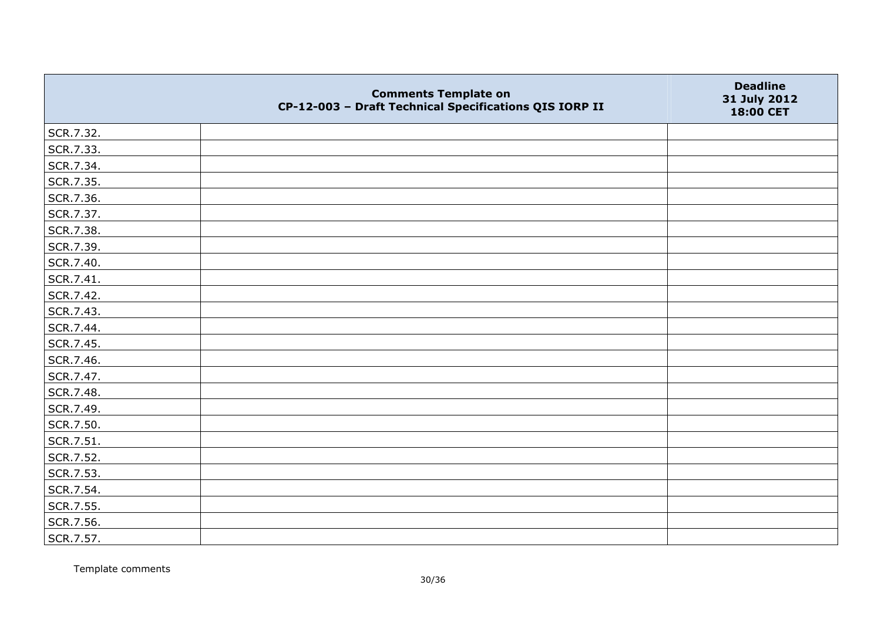|           | <b>Comments Template on</b><br>CP-12-003 - Draft Technical Specifications QIS IORP II | <b>Deadline</b><br>31 July 2012<br>18:00 CET |
|-----------|---------------------------------------------------------------------------------------|----------------------------------------------|
| SCR.7.32. |                                                                                       |                                              |
| SCR.7.33. |                                                                                       |                                              |
| SCR.7.34. |                                                                                       |                                              |
| SCR.7.35. |                                                                                       |                                              |
| SCR.7.36. |                                                                                       |                                              |
| SCR.7.37. |                                                                                       |                                              |
| SCR.7.38. |                                                                                       |                                              |
| SCR.7.39. |                                                                                       |                                              |
| SCR.7.40. |                                                                                       |                                              |
| SCR.7.41. |                                                                                       |                                              |
| SCR.7.42. |                                                                                       |                                              |
| SCR.7.43. |                                                                                       |                                              |
| SCR.7.44. |                                                                                       |                                              |
| SCR.7.45. |                                                                                       |                                              |
| SCR.7.46. |                                                                                       |                                              |
| SCR.7.47. |                                                                                       |                                              |
| SCR.7.48. |                                                                                       |                                              |
| SCR.7.49. |                                                                                       |                                              |
| SCR.7.50. |                                                                                       |                                              |
| SCR.7.51. |                                                                                       |                                              |
| SCR.7.52. |                                                                                       |                                              |
| SCR.7.53. |                                                                                       |                                              |
| SCR.7.54. |                                                                                       |                                              |
| SCR.7.55. |                                                                                       |                                              |
| SCR.7.56. |                                                                                       |                                              |
| SCR.7.57. |                                                                                       |                                              |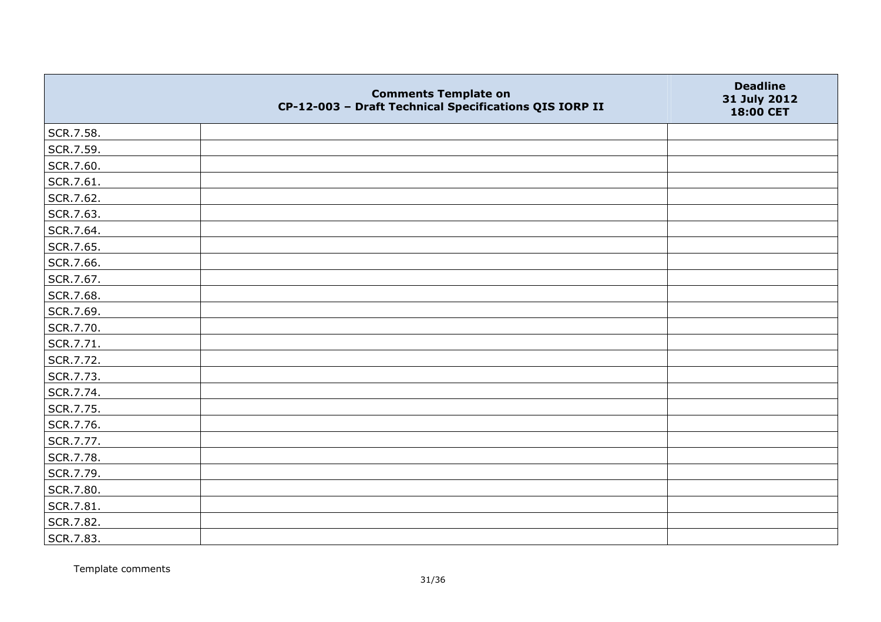|           | <b>Comments Template on</b><br>CP-12-003 - Draft Technical Specifications QIS IORP II | <b>Deadline</b><br>31 July 2012<br>18:00 CET |
|-----------|---------------------------------------------------------------------------------------|----------------------------------------------|
| SCR.7.58. |                                                                                       |                                              |
| SCR.7.59. |                                                                                       |                                              |
| SCR.7.60. |                                                                                       |                                              |
| SCR.7.61. |                                                                                       |                                              |
| SCR.7.62. |                                                                                       |                                              |
| SCR.7.63. |                                                                                       |                                              |
| SCR.7.64. |                                                                                       |                                              |
| SCR.7.65. |                                                                                       |                                              |
| SCR.7.66. |                                                                                       |                                              |
| SCR.7.67. |                                                                                       |                                              |
| SCR.7.68. |                                                                                       |                                              |
| SCR.7.69. |                                                                                       |                                              |
| SCR.7.70. |                                                                                       |                                              |
| SCR.7.71. |                                                                                       |                                              |
| SCR.7.72. |                                                                                       |                                              |
| SCR.7.73. |                                                                                       |                                              |
| SCR.7.74. |                                                                                       |                                              |
| SCR.7.75. |                                                                                       |                                              |
| SCR.7.76. |                                                                                       |                                              |
| SCR.7.77. |                                                                                       |                                              |
| SCR.7.78. |                                                                                       |                                              |
| SCR.7.79. |                                                                                       |                                              |
| SCR.7.80. |                                                                                       |                                              |
| SCR.7.81. |                                                                                       |                                              |
| SCR.7.82. |                                                                                       |                                              |
| SCR.7.83. |                                                                                       |                                              |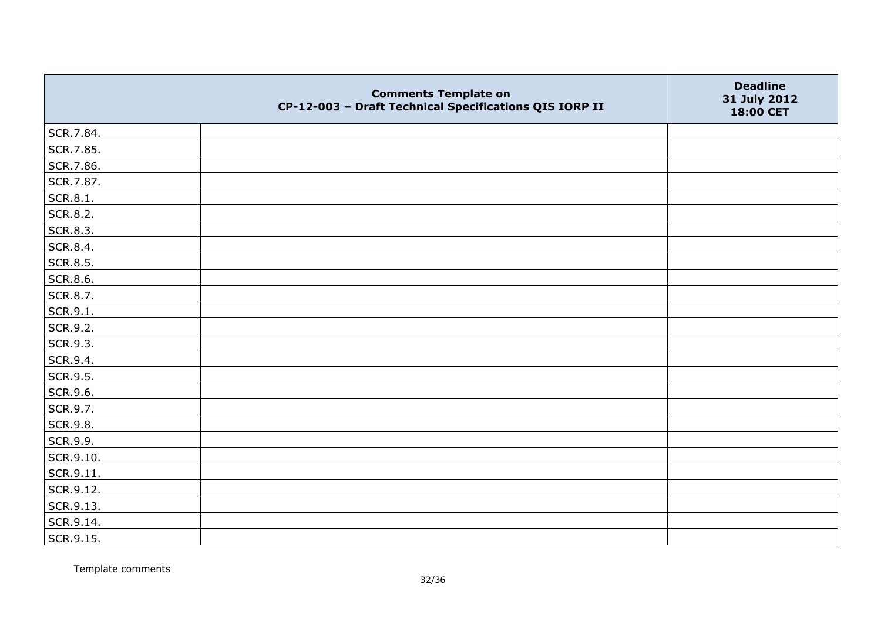|           | <b>Comments Template on</b><br>CP-12-003 - Draft Technical Specifications QIS IORP II | <b>Deadline</b><br>31 July 2012<br>18:00 CET |
|-----------|---------------------------------------------------------------------------------------|----------------------------------------------|
| SCR.7.84. |                                                                                       |                                              |
| SCR.7.85. |                                                                                       |                                              |
| SCR.7.86. |                                                                                       |                                              |
| SCR.7.87. |                                                                                       |                                              |
| SCR.8.1.  |                                                                                       |                                              |
| SCR.8.2.  |                                                                                       |                                              |
| SCR.8.3.  |                                                                                       |                                              |
| SCR.8.4.  |                                                                                       |                                              |
| SCR.8.5.  |                                                                                       |                                              |
| SCR.8.6.  |                                                                                       |                                              |
| SCR.8.7.  |                                                                                       |                                              |
| SCR.9.1.  |                                                                                       |                                              |
| SCR.9.2.  |                                                                                       |                                              |
| SCR.9.3.  |                                                                                       |                                              |
| SCR.9.4.  |                                                                                       |                                              |
| SCR.9.5.  |                                                                                       |                                              |
| SCR.9.6.  |                                                                                       |                                              |
| SCR.9.7.  |                                                                                       |                                              |
| SCR.9.8.  |                                                                                       |                                              |
| SCR.9.9.  |                                                                                       |                                              |
| SCR.9.10. |                                                                                       |                                              |
| SCR.9.11. |                                                                                       |                                              |
| SCR.9.12. |                                                                                       |                                              |
| SCR.9.13. |                                                                                       |                                              |
| SCR.9.14. |                                                                                       |                                              |
| SCR.9.15. |                                                                                       |                                              |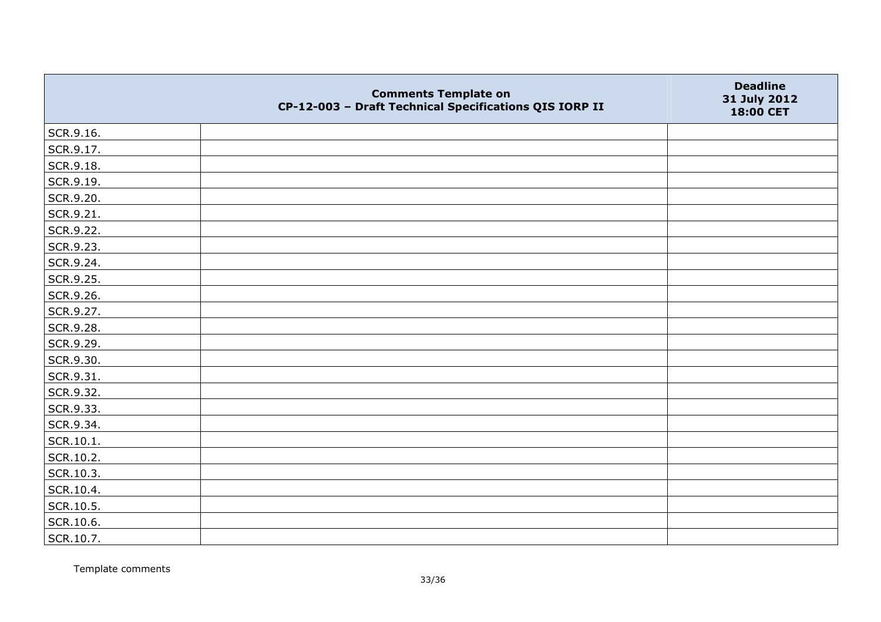|           | <b>Comments Template on</b><br>CP-12-003 - Draft Technical Specifications QIS IORP II | <b>Deadline</b><br>31 July 2012<br>18:00 CET |
|-----------|---------------------------------------------------------------------------------------|----------------------------------------------|
| SCR.9.16. |                                                                                       |                                              |
| SCR.9.17. |                                                                                       |                                              |
| SCR.9.18. |                                                                                       |                                              |
| SCR.9.19. |                                                                                       |                                              |
| SCR.9.20. |                                                                                       |                                              |
| SCR.9.21. |                                                                                       |                                              |
| SCR.9.22. |                                                                                       |                                              |
| SCR.9.23. |                                                                                       |                                              |
| SCR.9.24. |                                                                                       |                                              |
| SCR.9.25. |                                                                                       |                                              |
| SCR.9.26. |                                                                                       |                                              |
| SCR.9.27. |                                                                                       |                                              |
| SCR.9.28. |                                                                                       |                                              |
| SCR.9.29. |                                                                                       |                                              |
| SCR.9.30. |                                                                                       |                                              |
| SCR.9.31. |                                                                                       |                                              |
| SCR.9.32. |                                                                                       |                                              |
| SCR.9.33. |                                                                                       |                                              |
| SCR.9.34. |                                                                                       |                                              |
| SCR.10.1. |                                                                                       |                                              |
| SCR.10.2. |                                                                                       |                                              |
| SCR.10.3. |                                                                                       |                                              |
| SCR.10.4. |                                                                                       |                                              |
| SCR.10.5. |                                                                                       |                                              |
| SCR.10.6. |                                                                                       |                                              |
| SCR.10.7. |                                                                                       |                                              |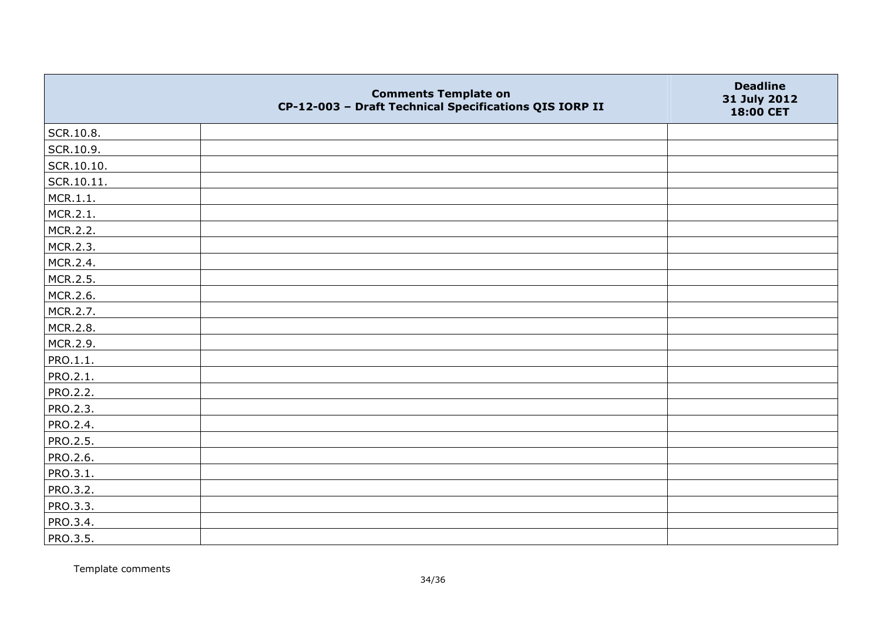|                 | <b>Comments Template on</b><br>CP-12-003 - Draft Technical Specifications QIS IORP II | <b>Deadline</b><br>31 July 2012<br>18:00 CET |
|-----------------|---------------------------------------------------------------------------------------|----------------------------------------------|
| SCR.10.8.       |                                                                                       |                                              |
| SCR.10.9.       |                                                                                       |                                              |
| SCR.10.10.      |                                                                                       |                                              |
| SCR.10.11.      |                                                                                       |                                              |
| MCR.1.1.        |                                                                                       |                                              |
| MCR.2.1.        |                                                                                       |                                              |
| MCR.2.2.        |                                                                                       |                                              |
| MCR.2.3.        |                                                                                       |                                              |
| MCR.2.4.        |                                                                                       |                                              |
| MCR.2.5.        |                                                                                       |                                              |
| MCR.2.6.        |                                                                                       |                                              |
| MCR.2.7.        |                                                                                       |                                              |
| MCR.2.8.        |                                                                                       |                                              |
| MCR.2.9.        |                                                                                       |                                              |
| PRO.1.1.        |                                                                                       |                                              |
| PRO.2.1.        |                                                                                       |                                              |
| <b>PRO.2.2.</b> |                                                                                       |                                              |
| PRO.2.3.        |                                                                                       |                                              |
| PRO.2.4.        |                                                                                       |                                              |
| <b>PRO.2.5.</b> |                                                                                       |                                              |
| PRO.2.6.        |                                                                                       |                                              |
| PRO.3.1.        |                                                                                       |                                              |
| PRO.3.2.        |                                                                                       |                                              |
| PRO.3.3.        |                                                                                       |                                              |
| PRO.3.4.        |                                                                                       |                                              |
| <b>PRO.3.5.</b> |                                                                                       |                                              |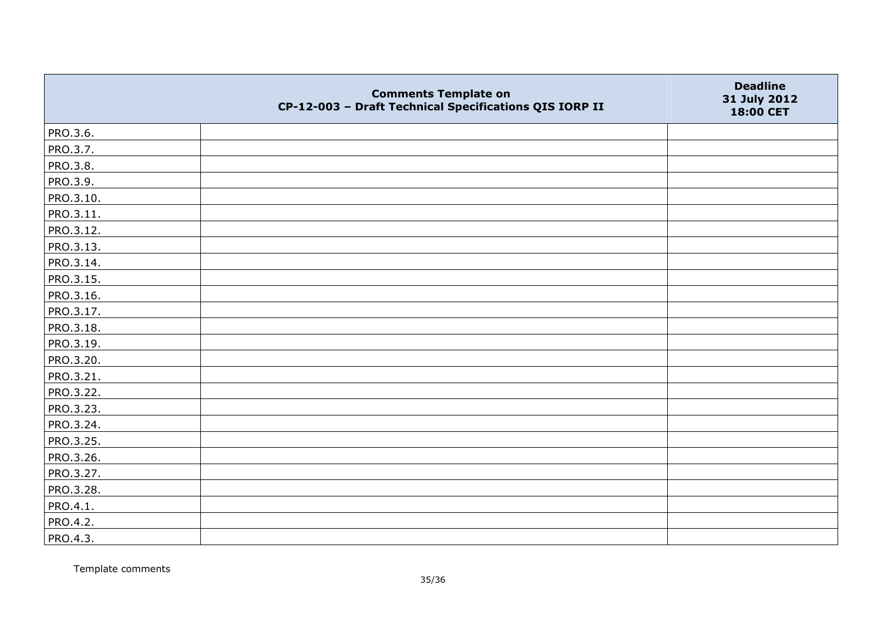|           | <b>Comments Template on</b><br>CP-12-003 - Draft Technical Specifications QIS IORP II | <b>Deadline</b><br>31 July 2012<br>18:00 CET |
|-----------|---------------------------------------------------------------------------------------|----------------------------------------------|
| PRO.3.6.  |                                                                                       |                                              |
| PRO.3.7.  |                                                                                       |                                              |
| PRO.3.8.  |                                                                                       |                                              |
| PRO.3.9.  |                                                                                       |                                              |
| PRO.3.10. |                                                                                       |                                              |
| PRO.3.11. |                                                                                       |                                              |
| PRO.3.12. |                                                                                       |                                              |
| PRO.3.13. |                                                                                       |                                              |
| PRO.3.14. |                                                                                       |                                              |
| PRO.3.15. |                                                                                       |                                              |
| PRO.3.16. |                                                                                       |                                              |
| PRO.3.17. |                                                                                       |                                              |
| PRO.3.18. |                                                                                       |                                              |
| PRO.3.19. |                                                                                       |                                              |
| PRO.3.20. |                                                                                       |                                              |
| PRO.3.21. |                                                                                       |                                              |
| PRO.3.22. |                                                                                       |                                              |
| PRO.3.23. |                                                                                       |                                              |
| PRO.3.24. |                                                                                       |                                              |
| PRO.3.25. |                                                                                       |                                              |
| PRO.3.26. |                                                                                       |                                              |
| PRO.3.27. |                                                                                       |                                              |
| PRO.3.28. |                                                                                       |                                              |
| PRO.4.1.  |                                                                                       |                                              |
| PRO.4.2.  |                                                                                       |                                              |
| PRO.4.3.  |                                                                                       |                                              |